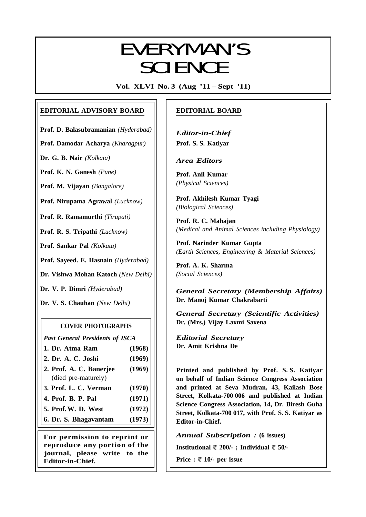# EVERYMANIC EVERYMAN'S **SCIENCE**

**Vol. XLVI No. 3 (Aug '11 – Sept '11)**

# **EDITORIAL ADVISORY BOARD**

**Prof. D. Balasubramanian** *(Hyderabad)*

**Prof. Damodar Acharya** *(Kharagpur)*

**Dr. G. B. Nair** *(Kolkata)*

**Prof. K. N. Ganesh** *(Pune)*

**Prof. M. Vijayan** *(Bangalore)*

**Prof. Nirupama Agrawal** *(Lucknow)*

**Prof. R. Ramamurthi** *(Tirupati)*

**Prof. R. S. Tripathi** *(Lucknow)*

**Prof. Sankar Pal** *(Kolkata)*

**Prof. Sayeed. E. Hasnain** *(Hyderabad)*

**Dr. Vishwa Mohan Katoch** *(New Delhi)*

**Dr. V. P. Dimri** *(Hyderabad)*

**Dr. V. S. Chauhan** *(New Delhi)*

## **COVER PHOTOGRAPHS**

*Past General Presidents of ISCA*

- **1. Dr. Atma Ram (1968)**
- **2. Dr. A. C. Joshi (1969) 2. Prof. A. C. Banerjee (1969)**
- (died pre-maturely)
- **3. Prof. L. C. Verman (1970)**
- **4. Prof. B. P. Pal (1971)**
- **5. Prof.W. D. West (1972)**
- **6. Dr. S. Bhagavantam (1973)**

**For permission to reprint or reproduce any portion of the journal, please write to the Editor-in-Chief.**

# **EDITORIAL BOARD**

*Editor-in-Chief* **Prof. S. S. Katiyar**

*Area Editors*

**Prof. Anil Kumar** *(Physical Sciences)*

**Prof. Akhilesh Kumar Tyagi** *(Biological Sciences)*

**Prof. R. C. Mahajan** *(Medical and Animal Sciences including Physiology)*

**Prof. Narinder Kumar Gupta** *(Earth Sciences, Engineering & Material Sciences)*

**Prof. A. K. Sharma** *(Social Sciences)*

*General Secretary (Membership Affairs)* **Dr. Manoj Kumar Chakrabarti**

*General Secretary (Scientific Activities)* **Dr. (Mrs.) Vijay Laxmi Saxena**

*Editorial Secretary* **Dr. Amit Krishna De**

**Printed and published by Prof. S. S. Katiyar on behalf of Indian Science Congress Association and printed at Seva Mudran, 43, Kailash Bose Street, Kolkata-700 006 and published at Indian Science Congress Association, 14, Dr. Biresh Guha Street, Kolkata-700 017, with Prof. S. S. Katiyar as Editor-in-Chief.**

*Annual Subscription :* **(6 issues)**

**Institutional 200/- ; Individual 50/-**

**Price :**  $\sqrt[m]{ }$  **10/- per issue** 

137<br>137 - 137 - 137 - 137 - 137 - 137 - 137 - 137 - 137 - 137 - 137 - 137 - 137 - 137 - 137 - 137 - 137 - 137<br>137 - 137 - 137 - 138 - 139 - 139 - 139 - 139 - 139 - 139 - 139 - 139 - 139 - 139 - 139 - 139 - 139 - 139 - 1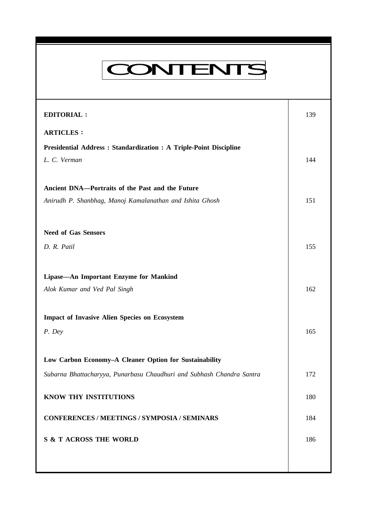| <b>CONTENTS</b> |  |
|-----------------|--|

| <b>EDITORIAL:</b>                                                     | 139 |
|-----------------------------------------------------------------------|-----|
| <b>ARTICLES:</b>                                                      |     |
| Presidential Address : Standardization : A Triple-Point Discipline    |     |
| L. C. Verman                                                          | 144 |
|                                                                       |     |
| Ancient DNA-Portraits of the Past and the Future                      |     |
| Anirudh P. Shanbhag, Manoj Kamalanathan and Ishita Ghosh              | 151 |
|                                                                       |     |
| <b>Need of Gas Sensors</b>                                            |     |
| D. R. Patil                                                           | 155 |
|                                                                       |     |
| Lipase-An Important Enzyme for Mankind                                |     |
| Alok Kumar and Ved Pal Singh                                          | 162 |
|                                                                       |     |
| <b>Impact of Invasive Alien Species on Ecosystem</b>                  |     |
| P. Dey                                                                | 165 |
|                                                                       |     |
| Low Carbon Economy-A Cleaner Option for Sustainability                |     |
| Subarna Bhattacharyya, Punarbasu Chaudhuri and Subhash Chandra Santra | 172 |
|                                                                       |     |
| KNOW THY INSTITUTIONS                                                 | 180 |
| <b>CONFERENCES / MEETINGS / SYMPOSIA / SEMINARS</b>                   | 184 |
| <b>S &amp; T ACROSS THE WORLD</b>                                     | 186 |
|                                                                       |     |
|                                                                       |     |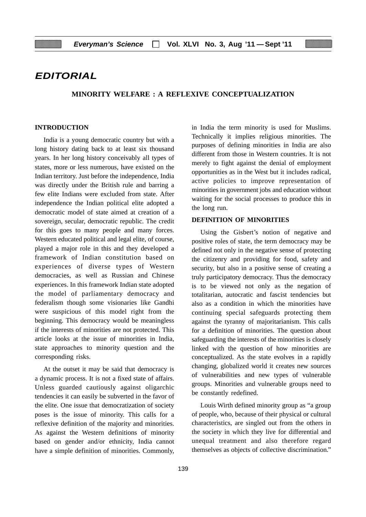# **EDITORIAL**

#### **MINORITY WELFARE : A REFLEXIVE CONCEPTUALIZATION**

#### **INTRODUCTION**

India is a young democratic country but with a long history dating back to at least six thousand years. In her long history conceivably all types of states, more or less numerous, have existed on the Indian territory. Just before the independence, India was directly under the British rule and barring a few elite Indians were excluded from state. After independence the Indian political elite adopted a democratic model of state aimed at creation of a sovereign, secular, democratic republic. The credit for this goes to many people and many forces. Western educated political and legal elite, of course, played a major role in this and they developed a framework of Indian constitution based on experiences of diverse types of Western democracies, as well as Russian and Chinese experiences. In this framework Indian state adopted the model of parliamentary democracy and federalism though some visionaries like Gandhi were suspicious of this model right from the beginning. This democracy would be meaningless if the interests of minorities are not protected. This article looks at the issue of minorities in India, state approaches to minority question and the corresponding risks.

At the outset it may be said that democracy is a dynamic process. It is not a fixed state of affairs. Unless guarded cautiously against oligarchic tendencies it can easily be subverted in the favor of the elite. One issue that democratization of society poses is the issue of minority. This calls for a reflexive definition of the majority and minorities. As against the Western definitions of minority based on gender and/or ethnicity, India cannot have a simple definition of minorities. Commonly,

in India the term minority is used for Muslims. Technically it implies religious minorities. The purposes of defining minorities in India are also different from those in Western countries. It is not merely to fight against the denial of employment opportunities as in the West but it includes radical, active policies to improve representation of minorities in government jobs and education without waiting for the social processes to produce this in the long run.

#### **DEFINITION OF MINORITIES**

Using the Gisbert's notion of negative and positive roles of state, the term democracy may be defined not only in the negative sense of protecting the citizenry and providing for food, safety and security, but also in a positive sense of creating a truly participatory democracy. Thus the democracy is to be viewed not only as the negation of totalitarian, autocratic and fascist tendencies but also as a condition in which the minorities have continuing special safeguards protecting them against the tyranny of majoritarianism. This calls for a definition of minorities. The question about safeguarding the interests of the minorities is closely linked with the question of how minorities are conceptualized. As the state evolves in a rapidly changing, globalized world it creates new sources of vulnerabilities and new types of vulnerable groups. Minorities and vulnerable groups need to be constantly redefined.

Louis Wirth defined minority group as "a group of people, who, because of their physical or cultural characteristics, are singled out from the others in the society in which they live for differential and unequal treatment and also therefore regard themselves as objects of collective discrimination."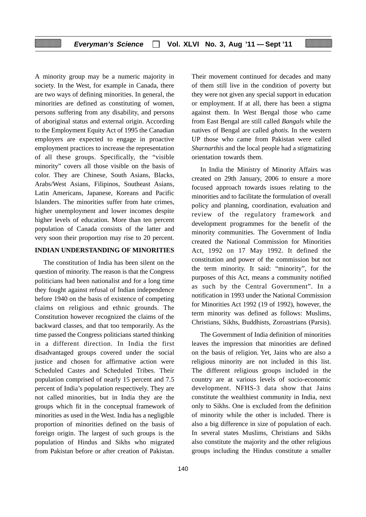A minority group may be a numeric majority in society. In the West, for example in Canada, there are two ways of defining minorities. In general, the minorities are defined as constituting of women, persons suffering from any disability, and persons of aboriginal status and external origin. According to the Employment Equity Act of 1995 the Canadian employers are expected to engage in proactive employment practices to increase the representation of all these groups. Specifically, the "visible minority" covers all those visible on the basis of color. They are Chinese, South Asians, Blacks, Arabs/West Asians, Filipinos, Southeast Asians, Latin Americans, Japanese, Koreans and Pacific Islanders. The minorities suffer from hate crimes, higher unemployment and lower incomes despite higher levels of education. More than ten percent population of Canada consists of the latter and very soon their proportion may rise to 20 percent.

#### **INDIAN UNDERSTANDING OF MINORITIES**

The constitution of India has been silent on the question of minority. The reason is that the Congress politicians had been nationalist and for a long time they fought against refusal of Indian independence before 1940 on the basis of existence of competing claims on religious and ethnic grounds. The Constitution however recognized the claims of the backward classes, and that too temporarily. As the time passed the Congress politicians started thinking in a different direction. In India the first disadvantaged groups covered under the social justice and chosen for affirmative action were Scheduled Castes and Scheduled Tribes. Their population comprised of nearly 15 percent and 7.5 percent of India's population respectively. They are not called minorities, but in India they are the groups which fit in the conceptual framework of minorities as used in the West. India has a negligible proportion of minorities defined on the basis of foreign origin. The largest of such groups is the population of Hindus and Sikhs who migrated from Pakistan before or after creation of Pakistan.

Their movement continued for decades and many of them still live in the condition of poverty but they were not given any special support in education or employment. If at all, there has been a stigma against them. In West Bengal those who came from East Bengal are still called *Bangals* while the natives of Bengal are called *ghotis.* In the western UP those who came from Pakistan were called *Sharnarthis* and the local people had a stigmatizing orientation towards them.

In India the Ministry of Minority Affairs was created on 29th January, 2006 to ensure a more focused approach towards issues relating to the minorities and to facilitate the formulation of overall policy and planning, coordination, evaluation and review of the regulatory framework and development programmes for the benefit of the minority communities. The Government of India created the National Commission for Minorities Act, 1992 on 17 May 1992. It defined the constitution and power of the commission but not the term minority. It said: "minority", for the purposes of this Act, means a community notified as such by the Central Government". In a notification in 1993 under the National Commission for Minorities Act 1992 (19 of 1992), however, the term minority was defined as follows: Muslims, Christians, Sikhs, Buddhists, Zoroastrians (Parsis).

The Government of India definition of minorities leaves the impression that minorities are defined on the basis of religion. Yet, Jains who are also a religious minority are not included in this list. The different religious groups included in the country are at various levels of socio-economic development. NFHS-3 data show that Jains constitute the wealthiest community in India, next only to Sikhs. One is excluded from the definition of minority while the other is included. There is also a big difference in size of population of each. In several states Muslims, Christians and Sikhs also constitute the majority and the other religious groups including the Hindus constitute a smaller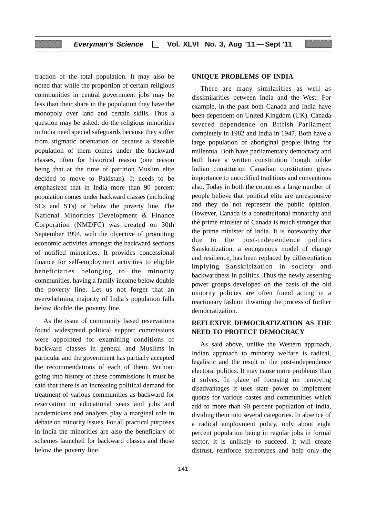fraction of the total population. It may also be noted that while the proportion of certain religious communities in central government jobs may be less than their share in the population they have the monopoly over land and certain skills. Thus a question may be asked: do the religious minorities in India need special safeguards because they suffer from stigmatic orientation or because a sizeable population of them comes under the backward classes, often for historical reason (one reason being that at the time of partition Muslim elite decided to move to Pakistan). It needs to be emphasized that in India more than 90 percent population comes under backward classes (including SCs and STs) or below the poverty line. The National Minorities Development & Finance Corporation (NMDFC) was created on 30th September 1994, with the objective of promoting economic activities amongst the backward sections of notified minorities. It provides concessional finance for self-employment activities to eligible beneficiaries belonging to the minority communities, having a family income below double the poverty line. Let us not forget that an overwhelming majority of India's population falls below double the poverty line.

As the issue of community based reservations found widespread political support commissions were appointed for examining conditions of backward classes in general and Muslims in particular and the government has partially accepted the recommendations of each of them. Without going into history of these commissions it must be said that there is an increasing political demand for treatment of various communities as backward for reservation in educational seats and jobs and academicians and analysts play a marginal role in debate on minority issues. For all practical purposes in India the minorities are also the beneficiary of schemes launched for backward classes and those below the poverty line.

#### **UNIQUE PROBLEMS OF INDIA**

There are many similarities as well as dissimilarities between India and the West. For example, in the past both Canada and India have been dependent on United Kingdom (UK). Canada severed dependence on British Parliament completely in 1982 and India in 1947. Both have a large population of aboriginal people living for millennia. Both have parliamentary democracy and both have a written constitution though unlike Indian constitution Canadian constitution gives importance to uncodified traditions and conventions also. Today in both the countries a large number of people believe that political elite are unresponsive and they do not represent the public opinion. However, Canada is a constitutional monarchy and the prime minister of Canada is much stronger that the prime minister of India. It is noteworthy that due to the post-independence politics Sanskritization, a endogenous model of change and resilience, has been replaced by differentiation implying Sanskritization in society and backwardness in politics. Thus the newly asserting power groups developed on the basis of the old minority policies are often found acting in a reactionary fashion thwarting the process of further democratization.

#### **REFLEXIVE DEMOCRATIZATION AS THE NEED TO PROTECT DEMOCRACY**

As said above, unlike the Western approach, Indian approach to minority welfare is radical, legalistic and the result of the post-independence electoral politics. It may cause more problems than it solves. In place of focusing on removing disadvantages it uses state power to implement quotas for various castes and communities which add to more than 90 percent population of India, dividing them into several categories. In absence of a radical employment policy, only about eight percent population being in regular jobs in formal sector, it is unlikely to succeed. It will create distrust, reinforce stereotypes and help only the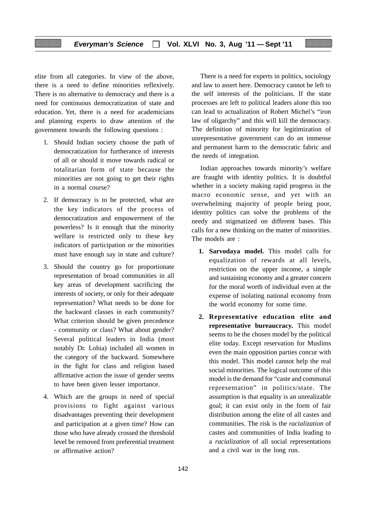elite from all categories. In view of the above, there is a need to define minorities reflexively. There is no alternative to democracy and there is a need for continuous democratization of state and education. Yet, there is a need for academicians and planning experts to draw attention of the government towards the following questions :

- 1. Should Indian society choose the path of democratization for furtherance of interests of all or should it move towards radical or totalitarian form of state because the minorities are not going to get their rights in a normal course?
- 2. If democracy is to be protected, what are the key indicators of the process of democratization and empowerment of the powerless? Is it enough that the minority welfare is restricted only to these key indicators of participation or the minorities must have enough say in state and culture?
- 3. Should the country go for proportionate representation of broad communities in all key areas of development sacrificing the interests of society, or only for their adequate representation? What needs to be done for the backward classes in each community? What criterion should be given precedence - community or class? What about gender? Several political leaders in India (most notably Dr. Lohia) included all women in the category of the backward. Somewhere in the fight for class and religion based affirmative action the issue of gender seems to have been given lesser importance.
- 4. Which are the groups in need of special provisions to fight against various disadvantages preventing their development and participation at a given time? How can those who have already crossed the threshold level be removed from preferential treatment or affirmative action?

There is a need for experts in politics, sociology and law to assert here. Democracy cannot be left to the self interests of the politicians. If the state processes are left to political leaders alone this too can lead to actualization of Robert Michel's "iron law of oligarchy" and this will kill the democracy. The definition of minority for legitimization of unrepresentative government can do an immense and permanent harm to the democratic fabric and the needs of integration.

Indian approaches towards minority's welfare are fraught with identity politics. It is doubtful whether in a society making rapid progress in the macro economic sense, and yet with an overwhelming majority of people being poor, identity politics can solve the problems of the needy and stigmatized on different bases. This calls for a new thinking on the matter of minorities. The models are :

- **1. Sarvodaya model.** This model calls for equalization of rewards at all levels, restriction on the upper income, a simple and sustaining economy and a greater concern for the moral worth of individual even at the expense of isolating national economy from the world economy for some time.
- **2. Representative education elite and representative bureaucracy.** This model seems to be the chosen model by the political elite today. Except reservation for Muslims even the main opposition parties concur with this model. This model cannot help the real social minorities. The logical outcome of this model is the demand for "caste and communal representation" in politics/state. The assumption is that equality is an unrealizable goal; it can exist only in the form of fair distribution among the elite of all castes and communities. The risk is the *racialization* of castes and communities of India leading to a *racialization* of all social representations and a civil war in the long run.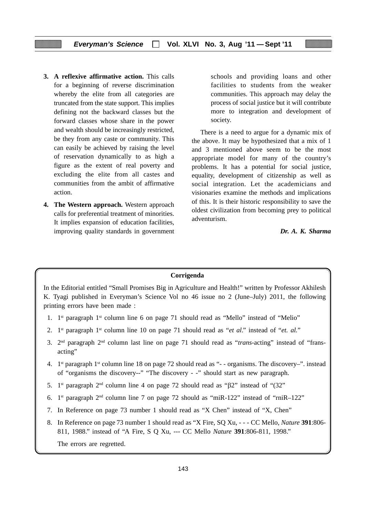- **3. A reflexive affirmative action.** This calls for a beginning of reverse discrimination whereby the elite from all categories are truncated from the state support. This implies defining not the backward classes but the forward classes whose share in the power and wealth should be increasingly restricted, be they from any caste or community. This can easily be achieved by raising the level of reservation dynamically to as high a figure as the extent of real poverty and excluding the elite from all castes and communities from the ambit of affirmative action.
- **4. The Western approach.** Western approach calls for preferential treatment of minorities. It implies expansion of education facilities, improving quality standards in government

schools and providing loans and other facilities to students from the weaker communities. This approach may delay the process of social justice but it will contribute more to integration and development of society.

There is a need to argue for a dynamic mix of the above. It may be hypothesized that a mix of 1 and 3 mentioned above seem to be the most appropriate model for many of the country's problems. It has a potential for social justice, equality, development of citizenship as well as social integration. Let the academicians and visionaries examine the methods and implications of this. It is their historic responsibility to save the oldest civilization from becoming prey to political adventurism.

*Dr. A. K. Sharma*

#### **Corrigenda**

In the Editorial entitled "Small Promises Big in Agriculture and Health!" written by Professor Akhilesh K. Tyagi published in Everyman's Science Vol no 46 issue no 2 (June–July) 2011, the following printing errors have been made :

- 1.  $1^{st}$  paragraph  $1^{st}$  column line 6 on page 71 should read as "Mello" instead of "Melio"
- 2. 1st paragraph 1st column line 10 on page 71 should read as "*et al*." instead of "*et. al.*"
- 3. 2nd paragraph 2nd column last line on page 71 should read as "*trans*-acting" instead of "fransacting"
- 4. 1st paragraph 1st column line 18 on page 72 should read as "- organisms. The discovery–". instead of "organisms the discovery--" "The discovery - -" should start as new paragraph.
- 5. 1st paragraph 2nd column line 4 on page 72 should read as "β2" instead of "(32"
- 6.  $1<sup>st</sup>$  paragraph  $2<sup>nd</sup>$  column line 7 on page 72 should as "miR-122" instead of "rniR-122"
- 7. In Reference on page 73 number 1 should read as "X Chen" instead of "X, Chen"
- 8. In Reference on page 73 number 1 should read as "X Fire, SQ Xu, - CC Mello, *Nature* **391**:806- 811, 1988." instead of "A Fire, S Q Xu, --- CC Mello *Nature* **391**:806-811, 1998."

The errors are regretted.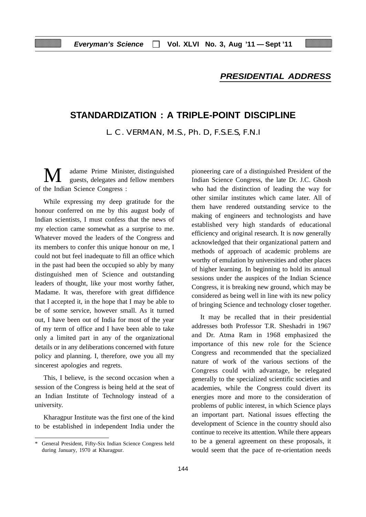## **PRESIDENTIAL ADDRESS**

# **STANDARDIZATION : A TRIPLE-POINT DISCIPLINE**

L. C. VERMAN, M.S., Ph. D, F.S.E.S, F.N.I

adame Prime Minister, distinguished guests, delegates and fellow members of the Indian Science Congress :

While expressing my deep gratitude for the honour conferred on me by this august body of Indian scientists, I must confess that the news of my election came somewhat as a surprise to me. Whatever moved the leaders of the Congress and its members to confer this unique honour on me, I could not but feel inadequate to fill an office which in the past had been the occupied so ably by many distinguished men of Science and outstanding leaders of thought, like your most worthy father, Madame. It was, therefore with great diffidence that I accepted it, in the hope that I may be able to be of some service, however small. As it turned out, I have been out of India for most of the year of my term of office and I have been able to take only a limited part in any of the organizational details or in any deliberations concerned with future policy and planning. I, therefore, owe you all my sincerest apologies and regrets.

This, I believe, is the second occasion when a session of the Congress is being held at the seat of an Indian Institute of Technology instead of a university.

Kharagpur Institute was the first one of the kind to be established in independent India under the

pioneering care of a distinguished President of the Indian Science Congress, the late Dr. J.C. Ghosh who had the distinction of leading the way for other similar institutes which came later. All of them have rendered outstanding service to the making of engineers and technologists and have established very high standards of educational efficiency and original research. It is now generally acknowledged that their organizational pattern and methods of approach of academic problems are worthy of emulation by universities and other places of higher learning. In beginning to hold its annual sessions under the auspices of the Indian Science Congress, it is breaking new ground, which may be considered as being well in line with its new policy of bringing Science and technology closer together.

It may be recalled that in their presidential addresses both Professor T.R. Sheshadri in 1967 and Dr. Atma Ram in 1968 emphasized the importance of this new role for the Science Congress and recommended that the specialized nature of work of the various sections of the Congress could with advantage, be relegated generally to the specialized scientific societies and academies, while the Congress could divert its energies more and more to the consideration of problems of public interest, in which Science plays an important part. National issues effecting the development of Science in the country should also continue to receive its attention. While there appears to be a general agreement on these proposals, it would seem that the pace of re-orientation needs

<sup>\*</sup> General President, Fifty-Six Indian Science Congress held during January, 1970 at Kharagpur.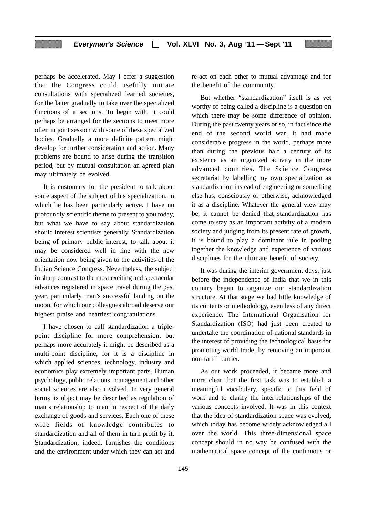perhaps be accelerated. May I offer a suggestion that the Congress could usefully initiate consultations with specialized learned societies, for the latter gradually to take over the specialized functions of it sections. To begin with, it could perhaps be arranged for the sections to meet more often in joint session with some of these specialized bodies. Gradually a more definite pattern might develop for further consideration and action. Many problems are bound to arise during the transition period, but by mutual consultation an agreed plan may ultimately be evolved.

It is customary for the president to talk about some aspect of the subject of his specialization, in which he has been particularly active. I have no profoundly scientific theme to present to you today, but what we have to say about standardization should interest scientists generally. Standardization being of primary public interest, to talk about it may be considered well in line with the new orientation now being given to the activities of the Indian Science Congress. Nevertheless, the subject in sharp contrast to the most exciting and spectacular advances registered in space travel during the past year, particularly man's successful landing on the moon, for which our colleagues abroad deserve our highest praise and heartiest congratulations.

I have chosen to call standardization a triplepoint discipline for more comprehension, but perhaps more accurately it might be described as a multi-point discipline, for it is a discipline in which applied sciences, technology, industry and economics play extremely important parts. Human psychology, public relations, management and other social sciences are also involved. In very general terms its object may be described as regulation of man's relationship to man in respect of the daily exchange of goods and services. Each one of these wide fields of knowledge contributes to standardization and all of them in turn profit by it. Standardization, indeed, furnishes the conditions and the environment under which they can act and

re-act on each other to mutual advantage and for the benefit of the community.

But whether "standardization" itself is as yet worthy of being called a discipline is a question on which there may be some difference of opinion. During the past twenty years or so, in fact since the end of the second world war, it had made considerable progress in the world, perhaps more than during the previous half a century of its existence as an organized activity in the more advanced countries. The Science Congress secretariat by labelling my own specialization as standardization instead of engineering or something else has, consciously or otherwise, acknowledged it as a discipline. Whatever the general view may be, it cannot be denied that standardization has come to stay as an important activity of a modern society and judging from its present rate of growth, it is bound to play a dominant rule in pooling together the knowledge and experience of various disciplines for the ultimate benefit of society.

It was during the interim government days, just before the independence of India that we in this country began to organize our standardization structure. At that stage we had little knowledge of its contents or methodology, even less of any direct experience. The International Organisation for Standardization (ISO) had just been created to undertake the coordination of national standards in the interest of providing the technological basis for promoting world trade, by removing an important non-tariff barrier.

As our work proceeded, it became more and more clear that the first task was to establish a meaningful vocabulary, specific to this field of work and to clarify the inter-relationships of the various concepts involved. It was in this context that the idea of standardization space was evolved, which today has become widely acknowledged all over the world. This three-dimensional space concept should in no way be confused with the mathematical space concept of the continuous or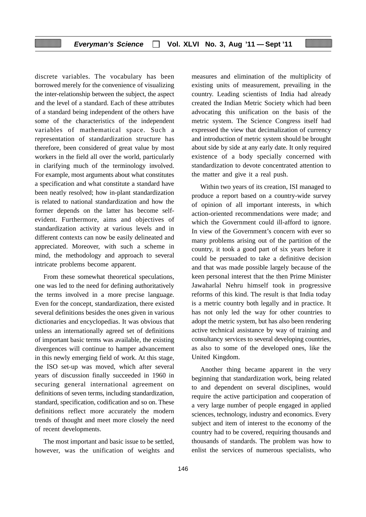discrete variables. The vocabulary has been borrowed merely for the convenience of visualizing the inter-relationship between the subject, the aspect and the level of a standard. Each of these attributes of a standard being independent of the others have some of the characteristics of the independent variables of mathematical space. Such a representation of standardization structure has therefore, been considered of great value by most workers in the field all over the world, particularly in clarifying much of the terminology involved. For example, most arguments about what constitutes a specification and what constitute a standard have been neatly resolved; how in-plant standardization is related to national standardization and how the former depends on the latter has become selfevident. Furthermore, aims and objectives of standardization activity at various levels and in different contexts can now be easily delineated and appreciated. Moreover, with such a scheme in mind, the methodology and approach to several intricate problems become apparent.

From these somewhat theoretical speculations, one was led to the need for defining authoritatively the terms involved in a more precise language. Even for the concept, standardization, there existed several definitions besides the ones given in various dictionaries and encyclopedias. It was obvious that unless an internationally agreed set of definitions of important basic terms was available, the existing divergences will continue to hamper advancement in this newly emerging field of work. At this stage, the ISO set-up was moved, which after several years of discussion finally succeeded in 1960 in securing general international agreement on definitions of seven terms, including standardization, standard, specification, codification and so on. These definitions reflect more accurately the modern trends of thought and meet more closely the need of recent developments.

The most important and basic issue to be settled, however, was the unification of weights and

measures and elimination of the multiplicity of existing units of measurement, prevailing in the country. Leading scientists of India had already created the Indian Metric Society which had been advocating this unification on the basis of the metric system. The Science Congress itself had expressed the view that decimalization of currency and introduction of metric system should be brought about side by side at any early date. It only required existence of a body specially concerned with standardization to devote concentrated attention to the matter and give it a real push.

Within two years of its creation, ISI managed to produce a report based on a country-wide survey of opinion of all important interests, in which action-oriented recommendations were made; and which the Government could ill-afford to ignore. In view of the Government's concern with ever so many problems arising out of the partition of the country, it took a good part of six years before it could be persuaded to take a definitive decision and that was made possible largely because of the keen personal interest that the then Prime Minister Jawaharlal Nehru himself took in progressive reforms of this kind. The result is that India today is a metric country both legally and in practice. It has not only led the way for other countries to adopt the metric system, but has also been rendering active technical assistance by way of training and consultancy services to several developing countries, as also to some of the developed ones, like the United Kingdom.

Another thing became apparent in the very beginning that standardization work, being related to and dependent on several disciplines, would require the active participation and cooperation of a very large number of people engaged in applied sciences, technology, industry and economics. Every subject and item of interest to the economy of the country had to be covered, requiring thousands and thousands of standards. The problem was how to enlist the services of numerous specialists, who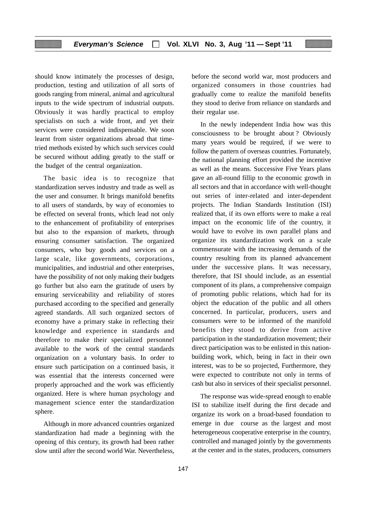should know intimately the processes of design, production, testing and utilization of all sorts of goods ranging from mineral, animal and agricultural inputs to the wide spectrum of industrial outputs. Obviously it was hardly practical to employ specialists on such a wide front, and yet their services were considered indispensable. We soon learnt from sister organizations abroad that timetried methods existed by which such services could be secured without adding greatly to the staff or the budget of the central organization.

The basic idea is to recognize that standardization serves industry and trade as well as the user and consumer. It brings manifold benefits to all users of standards, by way of economies to be effected on several fronts, which lead not only to the enhancement of profitability of enterprises but also to the expansion of markets, through ensuring consumer satisfaction. The organized consumers, who buy goods and services on a large scale, like governments, corporations, municipalities, and industrial and other enterprises, have the possibility of not only making their budgets go further but also earn the gratitude of users by ensuring serviceability and reliability of stores purchased according to the specified and generally agreed standards. All such organized sectors of economy have a primary stake in reflecting their knowledge and experience in standards and therefore to make their specialized personnel available to the work of the central standards organization on a voluntary basis. In order to ensure such participation on a continued basis, it was essential that the interests concerned were properly approached and the work was efficiently organized. Here is where human psychology and management science enter the standardization sphere.

Although in more advanced countries organized standardization had made a beginning with the opening of this century, its growth had been rather slow until after the second world War. Nevertheless, before the second world war, most producers and organized consumers in those countries had gradually come to realize the manifold benefits they stood to derive from reliance on standards and their regular use.

In the newly independent India how was this consciousness to be brought about ? Obviously many years would be required, if we were to follow the pattern of overseas countries. Fortunately, the national planning effort provided the incentive as well as the means. Successive Five Years plans gave an all-round fillip to the economic growth in all sectors and that in accordance with well-thought out series of inter-related and inter-dependent projects. The Indian Standards Institution (ISI) realized that, if its own efforts were to make a real impact on the economic life of the country, it would have to evolve its own parallel plans and organize its standardization work on a scale commensurate with the increasing demands of the country resulting from its planned advancement under the successive plans. It was necessary, therefore, that ISI should include, as an essential component of its plans, a comprehensive compaign of promoting public relations, which had for its object the education of the public and all others concerned. In particular, producers, users and consumers were to be informed of the manifold benefits they stood to derive from active participation in the standardization movement; their direct participation was to be enlisted in this nationbuilding work, which, being in fact in their own interest, was to be so projected, Furthermore, they were expected to contribute not only in terms of cash but also in services of their specialist personnel.

The response was wide-spread enough to enable ISI to stabilize itself during the first decade and organize its work on a broad-based foundation to emerge in due course as the largest and most heterogeneous cooperative enterprise in the country, controlled and managed jointly by the governments at the center and in the states, producers, consumers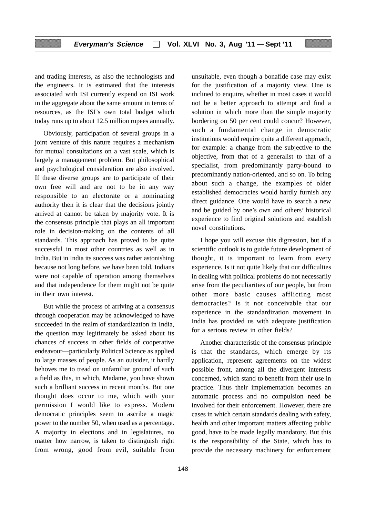and trading interests, as also the technologists and the engineers. It is estimated that the interests associated with ISI currently expend on ISI work in the aggregate about the same amount in terms of resources, as the ISI's own total budget which today runs up to about 12.5 million rupees annually.

Obviously, participation of several groups in a joint venture of this nature requires a mechanism for mutual consultations on a vast scale, which is largely a management problem. But philosophical and psychological consideration are also involved. If these diverse groups are to participate of their own free will and are not to be in any way responsible to an electorate or a nominating authority then it is clear that the decisions jointly arrived at cannot be taken by majority vote. It is the consensus principle that plays an all important role in decision-making on the contents of all standards. This approach has proved to be quite successful in most other countries as well as in India. But in India its success was rather astonishing because not long before, we have been told, Indians were not capable of operation among themselves and that independence for them might not be quite in their own interest.

But while the process of arriving at a consensus through cooperation may be acknowledged to have succeeded in the realm of standardization in India, the question may legitimately be asked about its chances of success in other fields of cooperative endeavour—particularly Political Science as applied to large masses of people. As an outsider, it hardly behoves me to tread on unfamiliar ground of such a field as this, in which, Madame, you have shown such a brilliant success in recent months. But one thought does occur to me, which with your permission I would like to express. Modern democratic principles seem to ascribe a magic power to the number 50, when used as a percentage. A majority in elections and in legislatures, no matter how narrow, is taken to distinguish right from wrong, good from evil, suitable from

unsuitable, even though a bonaflde case may exist for the justification of a majority view. One is inclined to enquire, whether in most cases it would not be a better approach to attempt and find a solution in which more than the simple majority bordering on 50 per cent could concur? However, such a fundamental change in democratic institutions would require quite a different approach, for example: a change from the subjective to the objective, from that of a generalist to that of a specialist, from predominantly party-bound to predominantly nation-oriented, and so on. To bring about such a change, the examples of older established democracies would hardly furnish any direct guidance. One would have to search a new and be guided by one's own and others' historical experience to find original solutions and establish novel constitutions.

I hope you will excuse this digression, but if a scientific outlook is to guide future development of thought, it is important to learn from every experience. Is it not quite likely that our difficulties in dealing with political problems do not necessarily arise from the peculiarities of our people, but from other more basic causes afflicting most democracies? Is it not conceivable that our experience in the standardization movement in India has provided us with adequate justification for a serious review in other fields?

Another characteristic of the consensus principle is that the standards, which emerge by its application, represent agreements on the widest possible front, among all the divergent interests concerned, which stand to benefit from their use in practice. Thus their implementation becomes an automatic process and no compulsion need be involved for their enforcement. However, there are cases in which certain standards dealing with safety, health and other important matters affecting public good, have to be made legally mandatory. But this is the responsibility of the State, which has to provide the necessary machinery for enforcement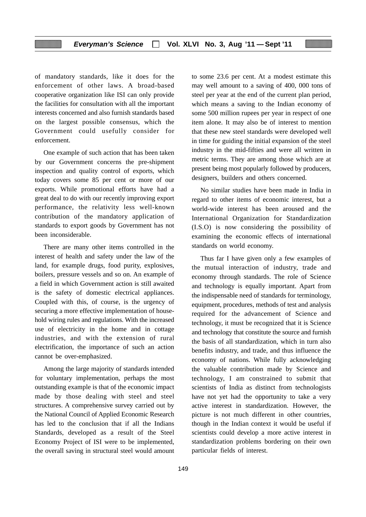of mandatory standards, like it does for the enforcement of other laws. A broad-based cooperative organization like ISI can only provide the facilities for consultation with all the important interests concerned and also furnish standards based on the largest possible consensus, which the Government could usefully consider for enforcement.

One example of such action that has been taken by our Government concerns the pre-shipment inspection and quality control of exports, which today covers some 85 per cent or more of our exports. While promotional efforts have had a great deal to do with our recently improving export performance, the relativity less well-known contribution of the mandatory application of standards to export goods by Government has not been inconsiderable.

There are many other items controlled in the interest of health and safety under the law of the land, for example drugs, food purity, explosives, boilers, pressure vessels and so on. An example of a field in which Government action is still awaited is the safety of domestic electrical appliances. Coupled with this, of course, is the urgency of securing a more effective implementation of household wiring rules and regulations. With the increased use of electricity in the home and in cottage industries, and with the extension of rural electrification, the importance of such an action cannot be over-emphasized.

Among the large majority of standards intended for voluntary implementation, perhaps the most outstanding example is that of the economic impact made by those dealing with steel and steel structures. A comprehensive survey carried out by the National Council of Applied Economic Research has led to the conclusion that if all the Indians Standards, developed as a result of the Steel Economy Project of ISI were to be implemented, the overall saving in structural steel would amount to some 23.6 per cent. At a modest estimate this may well amount to a saving of 400, 000 tons of steel per year at the end of the current plan period, which means a saving to the Indian economy of some 500 million rupees per year in respect of one item alone. It may also be of interest to mention that these new steel standards were developed well in time for guiding the initial expansion of the steel industry in the mid-fifties and were all written in metric terms. They are among those which are at present being most popularly followed by producers, designers, builders and others concerned.

No similar studies have been made in India in regard to other items of economic interest, but a world-wide interest has been aroused and the International Organization for Standardization (I.S.O) is now considering the possibility of examining the economic effects of international standards on world economy.

Thus far I have given only a few examples of the mutual interaction of industry, trade and economy through standards. The role of Science and technology is equally important. Apart from the indispensable need of standards for terminology, equipment, procedures, methods of test and analysis required for the advancement of Science and technology, it must be recognized that it is Science and technology that constitute the source and furnish the basis of all standardization, which in turn also benefits industry, and trade, and thus influence the economy of nations. While fully acknowledging the valuable contribution made by Science and technology, I am constrained to submit that scientists of India as distinct from technologists have not yet had the opportunity to take a very active interest in standardization. However, the picture is not much different in other countries, though in the Indian context it would be useful if scientists could develop a more active interest in standardization problems bordering on their own particular fields of interest.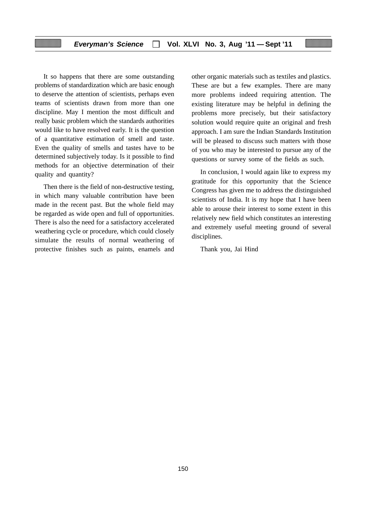It so happens that there are some outstanding problems of standardization which are basic enough to deserve the attention of scientists, perhaps even teams of scientists drawn from more than one discipline. May I mention the most difficult and really basic problem which the standards authorities would like to have resolved early. It is the question of a quantitative estimation of smell and taste. Even the quality of smells and tastes have to be determined subjectively today. Is it possible to find methods for an objective determination of their quality and quantity?

Then there is the field of non-destructive testing, in which many valuable contribution have been made in the recent past. But the whole field may be regarded as wide open and full of opportunities. There is also the need for a satisfactory accelerated weathering cycle or procedure, which could closely simulate the results of normal weathering of protective finishes such as paints, enamels and other organic materials such as textiles and plastics. These are but a few examples. There are many more problems indeed requiring attention. The existing literature may be helpful in defining the problems more precisely, but their satisfactory solution would require quite an original and fresh approach. I am sure the Indian Standards Institution will be pleased to discuss such matters with those of you who may be interested to pursue any of the questions or survey some of the fields as such.

In conclusion, I would again like to express my gratitude for this opportunity that the Science Congress has given me to address the distinguished scientists of India. It is my hope that I have been able to arouse their interest to some extent in this relatively new field which constitutes an interesting and extremely useful meeting ground of several disciplines.

Thank you, Jai Hind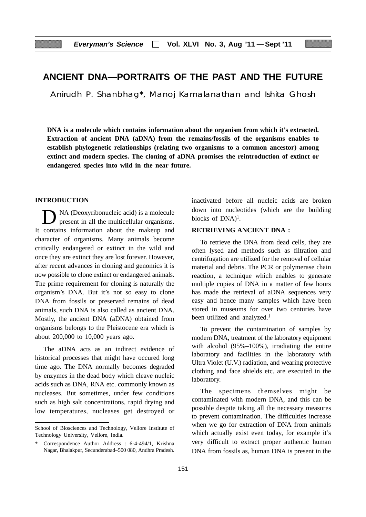# **ANCIENT DNA—PORTRAITS OF THE PAST AND THE FUTURE**

Anirudh P. Shanbhag\*, Manoj Kamalanathan and Ishita Ghosh

**DNA is a molecule which contains information about the organism from which it's extracted. Extraction of ancient DNA (aDNA) from the remains/fossils of the organisms enables to establish phylogenetic relationships (relating two organisms to a common ancestor) among extinct and modern species. The cloning of aDNA promises the reintroduction of extinct or endangered species into wild in the near future.**

#### **INTRODUCTION**

NA (Deoxyribonucleic acid) is a molecule present in all the multicellular organisms. It contains information about the makeup and character of organisms. Many animals become critically endangered or extinct in the wild and once they are extinct they are lost forever. However, after recent advances in cloning and genomics it is now possible to clone extinct or endangered animals. The prime requirement for cloning is naturally the organism's DNA. But it's not so easy to clone DNA from fossils or preserved remains of dead animals, such DNA is also called as ancient DNA. Mostly, the ancient DNA (aDNA) obtained from organisms belongs to the Pleistocene era which is about 200,000 to 10,000 years ago.

The aDNA acts as an indirect evidence of historical processes that might have occured long time ago. The DNA normally becomes degraded by enzymes in the dead body which cleave nucleic acids such as DNA, RNA etc. commonly known as nucleases. But sometimes, under few conditions such as high salt concentrations, rapid drying and low temperatures, nucleases get destroyed or inactivated before all nucleic acids are broken down into nucleotides (which are the building blocks of DNA)<sup>1</sup>.

#### **RETRIEVING ANCIENT DNA :**

To retrieve the DNA from dead cells, they are often lysed and methods such as filtration and centrifugation are utilized for the removal of cellular material and debris. The PCR or polymerase chain reaction, a technique which enables to generate multiple copies of DNA in a matter of few hours has made the retrieval of aDNA sequences very easy and hence many samples which have been stored in museums for over two centuries have been utilized and analyzed.<sup>1</sup>

To prevent the contamination of samples by modern DNA, treatment of the laboratory equipment with alcohol (95%–100%), irradiating the entire laboratory and facilities in the laboratory with Ultra Violet (U.V.) radiation, and wearing protective clothing and face shields etc. are executed in the laboratory.

The specimens themselves might be contaminated with modern DNA, and this can be possible despite taking all the necessary measures to prevent contamination. The difficulties increase when we go for extraction of DNA from animals which actually exist even today, for example it's very difficult to extract proper authentic human DNA from fossils as, human DNA is present in the

School of Biosciences and Technology, Vellore Institute of Technology University, Vellore, India.

Correspondence Author Address : 6-4-494/1, Krishna Nagar, Bhalakpur, Secunderabad–500 080, Andhra Pradesh.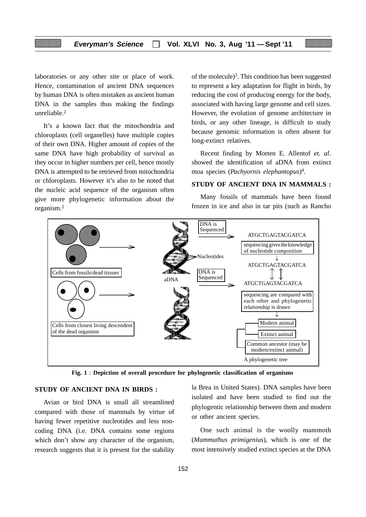laboratories or any other site or place of work. Hence, contamination of ancient DNA sequences by human DNA is often mistaken as ancient human DNA in the samples thus making the findings unreliable.2

It's a known fact that the mitochondria and chloroplasts (cell organelles) have multiple copies of their own DNA. Higher amount of copies of the same DNA have high probability of survival as they occur in higher numbers per cell, hence mostly DNA is attempted to be retrieved from mitochondria or chloroplasts. However it's also to be noted that the nucleic acid sequence of the organism often give more phylogenetic information about the organism.2

of the molecule)<sup>3</sup>. This condition has been suggested to represent a key adaptation for flight in birds, by reducing the cost of producing energy for the body, associated with having large genome and cell sizes. However, the evolution of genome architecture in birds, or any other lineage, is difficult to study because genomic information is often absent for long-extinct relatives.

Recent finding by Morten E. Allentof *et. al*. showed the identification of aDNA from extinct moa species (*Pachyornis elephantopus*)4.

#### **STUDY OF ANCIENT DNA IN MAMMALS :**

Many fossils of mammals have been found frozen in ice and also in tar pits (such as Rancho



**Fig. 1** : **Depiction of overall procedure for phylogenetic classification of organisms**

#### **STUDY OF ANCIENT DNA IN BIRDS :**

Avian or bird DNA is small all streamlined compared with those of mammals by virtue of having fewer repetitive nucleotides and less noncoding DNA (i.e. DNA contains some regions which don't show any character of the organism, research suggests that it is present for the stability

la Brea in United States). DNA samples have been isolated and have been studied to find out the phylogentic relationship between them and modern or other ancient species.

One such animal is the woolly mammoth (*Mammuthus primigenius*), which is one of the most intensively studied extinct species at the DNA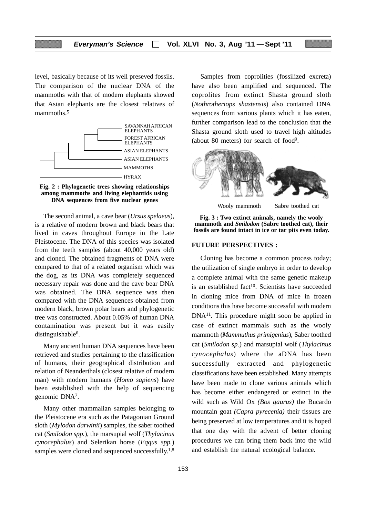level, basically because of its well preseved fossils. The comparison of the nuclear DNA of the mammoths with that of modern elephants showed that Asian elephants are the closest relatives of mammoths.<sup>5</sup>





The second animal, a cave bear (*Ursus spelaeus*), is a relative of modern brown and black bears that lived in caves throughout Europe in the Late Pleistocene. The DNA of this species was isolated from the teeth samples (about 40,000 years old) and cloned. The obtained fragments of DNA were compared to that of a related organism which was the dog, as its DNA was completely sequenced necessary repair was done and the cave bear DNA was obtained. The DNA sequence was then compared with the DNA sequences obtained from modern black, brown polar bears and phylogenetic tree was constructed. About 0.05% of human DNA contamination was present but it was easily distinguishable<sup>6</sup>.

Many ancient human DNA sequences have been retrieved and studies pertaining to the classification of humans, their geographical distribution and relation of Neanderthals (closest relative of modern man) with modern humans (*Homo sapiens*) have been established with the help of sequencing genomic DNA7.

Many other mammalian samples belonging to the Pleistocene era such as the Patagonian Ground sloth (*Mylodon darwinii*) samples, the saber toothed cat (*Smilodon spp.*), the marsupial wolf (*Thylacinus cynocephalus*) and Selerikan horse (*Eqqus spp.*) samples were cloned and sequenced successfully.<sup>1,8</sup>

Samples from coprolities (fossilized excreta) have also been amplified and sequenced. The coprolites from extinct Shasta ground sloth (*Nothrotheriops shastensis*) also contained DNA sequences from various plants which it has eaten, further comparison lead to the conclusion that the Shasta ground sloth used to travel high altitudes (about 80 meters) for search of food9.



Wooly mammoth Sabre toothed cat



#### **FUTURE PERSPECTIVES :**

Cloning has become a common process today; the utilization of single embryo in order to develop a complete animal with the same genetic makeup is an established fact<sup>10</sup>. Scientists have succeeded in cloning mice from DNA of mice in frozen conditions this have become successful with modern DNA11. This procedure might soon be applied in case of extinct mammals such as the wooly mammoth (*Mammuthus primigenius*), Saber toothed cat (*Smilodon sp.*) and marsupial wolf (*Thylacinus cynocephalus*) where the aDNA has been successfully extracted and phylogenetic classifications have been established. Many attempts have been made to clone various animals which has become either endangered or extinct in the wild such as Wild Ox *(Bos gaurus)* the Bucardo mountain goat *(Capra pyrecenia)* their tissues are being preserved at low temperatures and it is hoped that one day with the advent of better cloning procedures we can bring them back into the wild and establish the natural ecological balance.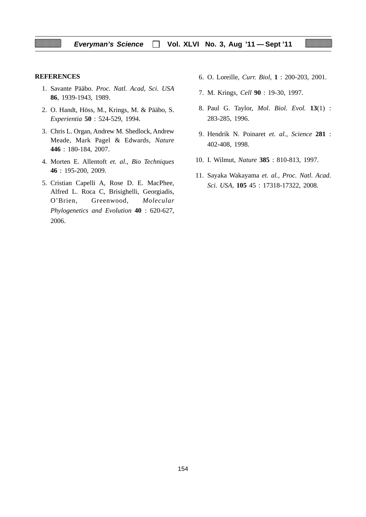#### **REFERENCES**

- 1. Savante Pääbo. *Proc. Natl. Acad, Sci*. *USA* **86**, 1939-1943, 1989.
- 2. O. Handt, Höss, M., Krings, M. & Pääbo, S. *Experientia* **50** : 524-529, 1994.
- 3. Chris L. Organ, Andrew M. Shedlock, Andrew Meade, Mark Pagel & Edwards, *Nature* **446** : 180-184, 2007.
- 4. Morten E. Allentoft *et. al*., *Bio Techniques* **46** : 195-200, 2009.
- 5. Cristian Capelli A, Rose D. E. MacPhee, Alfred L. Roca C, Brisighelli, Georgiadis, O'Brien, Greenwood, *Molecular Phylogenetics and Evolution* **40** : 620-627, 2006.
- 6. O. Loreille, *Curr. Biol*, **1** : 200-203, 2001.
- 7. M. Krings, *Cell* **90** : 19-30, 1997.
- 8. Paul G. Taylor, *Mol. Biol. Evol.* **13**(1) : 283-285, 1996.
- 9. Hendrik N. Poinaret *et. al., Science* **281** : 402-408, 1998.
- 10. I. Wilmut, *Nature* **385** : 810-813, 1997.
- 11. Sayaka Wakayama *et. al., Proc. Natl. Acad. Sci. USA,* **105** 45 : 17318-17322, 2008.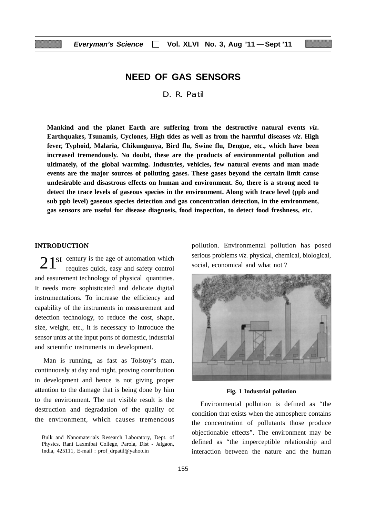# **NEED OF GAS SENSORS**

D. R. Patil

**Mankind and the planet Earth are suffering from the destructive natural events** *viz***. Earthquakes, Tsunamis, Cyclones, High tides as well as from the harmful diseases** *viz***. High fever, Typhoid, Malaria, Chikungunya, Bird flu, Swine flu, Dengue, etc., which have been increased tremendously. No doubt, these are the products of environmental pollution and ultimately, of the global warming. Industries, vehicles, few natural events and man made events are the major sources of polluting gases. These gases beyond the certain limit cause undesirable and disastrous effects on human and environment. So, there is a strong need to detect the trace levels of gaseous species in the environment. Along with trace level (ppb and sub ppb level) gaseous species detection and gas concentration detection, in the environment, gas sensors are useful for disease diagnosis, food inspection, to detect food freshness, etc.**

#### **INTRODUCTION**

century is the age of automation which  $21<sup>st</sup>$  century is the age of automation which requires quick, easy and safety control and easurement technology of physical quantities. It needs more sophisticated and delicate digital instrumentations. To increase the efficiency and capability of the instruments in measurement and detection technology, to reduce the cost, shape, size, weight, etc., it is necessary to introduce the sensor units at the input ports of domestic, industrial and scientific instruments in development.

Man is running, as fast as Tolstoy's man, continuously at day and night, proving contribution in development and hence is not giving proper attention to the damage that is being done by him to the environment. The net visible result is the destruction and degradation of the quality of the environment, which causes tremendous

pollution. Environmental pollution has posed serious problems *viz*. physical, chemical, biological, social, economical and what not ?



#### **Fig. 1 Industrial pollution**

Environmental pollution is defined as "the condition that exists when the atmosphere contains the concentration of pollutants those produce objectionable effects". The environment may be defined as "the imperceptible relationship and interaction between the nature and the human

Bulk and Nanomaterials Research Laboratory, Dept. of Physics, Rani Laxmibai College, Parola, Dist - Jalgaon, India, 425111, E-mail : prof\_drpatil@yahoo.in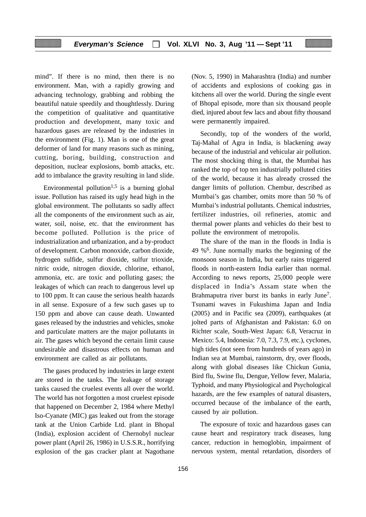mind". If there is no mind, then there is no environment. Man, with a rapidly growing and advancing technology, grabbing and robbing the beautiful natuie speedily and thoughtlessly. During the competition of qualitative and quantitative production and development, many toxic and hazardous gases are released by the industries in the environment (Fig. 1). Man is one of the great deformer of land for many reasons such as mining, cutting, boring, building, construction and deposition, nuclear explosions, bomb attacks, etc. add to imbalance the gravity resulting in land slide.

Environmental pollution<sup>1,5</sup> is a burning global issue. Pollution has raised its ugly head high in the global environment. The pollutants so sadly affect all the components of the environment such as air, water, soil, noise, etc. that the environment has become polluted. Pollution is the price of industrialization and urbanization, and a by-product of development. Carbon monoxide, carbon dioxide, hydrogen sulfide, sulfur dioxide, sulfur trioxide, nitric oxide, nitrogen dioxide, chlorine, ethanol, ammonia, etc. are toxic and polluting gases; the leakages of which can reach to dangerous level up to 100 ppm. It can cause the serious health hazards in all sense. Exposure of a few such gases up to 150 ppm and above can cause death. Unwanted gases released by the industries and vehicles, smoke and particulate matters are the major pollutants in air. The gases which beyond the certain limit cause undesirable and disastrous effects on human and environment are called as air pollutants.

The gases produced by industries in large extent are stored in the tanks. The leakage of storage tanks caused the cruelest events all over the world. The world has not forgotten a most cruelest episode that happened on December 2, 1984 where Methyl Iso-Cyanate (MIC) gas leaked out from the storage tank at the Union Carbide Ltd. plant in Bhopal (India), explosion accident of Chernobyl nuclear power plant (April 26, 1986) in U.S.S.R., horrifying explosion of the gas cracker plant at Nagothane (Nov. 5, 1990) in Maharashtra (India) and number of accidents and explosions of cooking gas in kitchens all over the world. During the single event of Bhopal episode, more than six thousand people died, injured about few lacs and about fifty thousand were permanently impaired.

Secondly, top of the wonders of the world, Taj-Mahal of Agra in India, is blackening away because of the industrial and vehicular air pollution. The most shocking thing is that, the Mumbai has ranked the top of top ten industrially polluted cities of the world, because it has already crossed the danger limits of pollution. Chembur, described as Mumbai's gas chamber, omits more than 50 % of Mumbai's industrial pollutants. Chemical industries, fertilizer industries, oil refineries, atomic and thermal power plants and vehicles do their best to pollute the environment of metropolis.

The share of the man in the floods in India is 49 %6. June normally marks the beginning of the monsoon season in India, but early rains triggered floods in north-eastern India earlier than normal. According to news reports, 25,000 people were displaced in India's Assam state when the Brahmaputra river burst its banks in early June<sup>7</sup>. Tsunami waves in Fukushima Japan and India (2005) and in Pacific sea (2009), earthquakes (at jolted parts of Afghanistan and Pakistan: 6.0 on Richter scale, South-West Japan: 6.8, Veracruz in Mexico: 5.4, Indonesia: 7.0, 7.3, 7.9, etc.), cyclones, high tides (not seen from hundreds of years ago) in Indian sea at Mumbai, rainstorm, dry, over floods, along with global diseases like Chickun Gunia, Bird flu, Swine flu, Dengue, Yellow fever, Malaria, Typhoid, and many Physiological and Psychological hazards, are the few examples of natural disasters, occurred because of the imbalance of the earth, caused by air pollution.

The exposure of toxic and hazardous gases can cause heart and respiratory track diseases, lung cancer, reduction in hemoglobin, impairment of nervous system, mental retardation, disorders of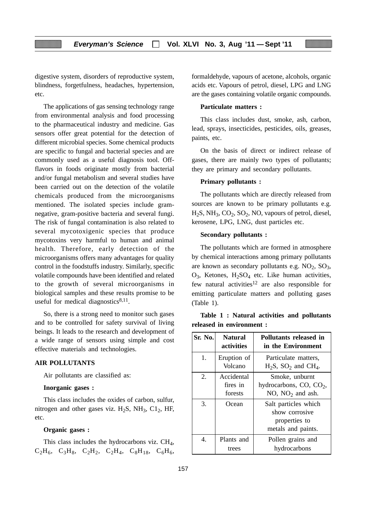digestive system, disorders of reproductive system, blindness, forgetfulness, headaches, hypertension, etc.

The applications of gas sensing technology range from environmental analysis and food processing to the pharmaceutical industry and medicine. Gas sensors offer great potential for the detection of different microbial species. Some chemical products are specific to fungal and bacterial species and are commonly used as a useful diagnosis tool. Offflavors in foods originate mostly from bacterial and/or fungal metabolism and several studies have been carried out on the detection of the volatile chemicals produced from the microorganisms mentioned. The isolated species include gramnegative, gram-positive bacteria and several fungi. The risk of fungal contamination is also related to several mycotoxigenic species that produce mycotoxins very harmful to human and animal health. Therefore, early detection of the microorganisms offers many advantages for quality control in the foodstuffs industry. Similarly, specific volatile compounds have been identified and related to the growth of several microorganisms in biological samples and these results promise to be useful for medical diagnostics $8,11$ .

So, there is a strong need to monitor such gases and to be controlled for safety survival of living beings. It leads to the research and development of a wide range of sensors using simple and cost effective materials and technologies.

#### **AIR POLLUTANTS**

Air pollutants are classified as:

#### **Inorganic gases :**

This class includes the oxides of carbon, sulfur, nitrogen and other gases viz.  $H_2S$ , NH<sub>3</sub>, C1<sub>2</sub>, HF, etc.

#### **Organic gases :**

This class includes the hydrocarbons viz.  $CH<sub>4</sub>$ ,  $C_2H_6$ ,  $C_3H_8$ ,  $C_2H_2$ ,  $C_2H_4$ ,  $C_8H_{18}$ ,  $C_6H_6$ , formaldehyde, vapours of acetone, alcohols, organic acids etc. Vapours of petrol, diesel, LPG and LNG are the gases containing volatile organic compounds.

#### **Particulate matters :**

This class includes dust, smoke, ash, carbon, lead, sprays, insecticides, pesticides, oils, greases, paints, etc.

On the basis of direct or indirect release of gases, there are mainly two types of pollutants; they are primary and secondary pollutants.

#### **Primary pollutants :**

The pollutants which are directly released from sources are known to be primary pollutants e.g.  $H_2S$ , NH<sub>3</sub>, CO<sub>2</sub>, SO<sub>2</sub>, NO, vapours of petrol, diesel, kerosene, LPG, LNG, dust particles etc.

#### **Secondary pollutants :**

The pollutants which are formed in atmosphere by chemical interactions among primary pollutants are known as secondary pollutants e.g.  $NO<sub>2</sub>$ ,  $SO<sub>3</sub>$ ,  $O_3$ , Ketones,  $H_2SO_4$  etc. Like human activities, few natural activities<sup>12</sup> are also responsible for emitting particulate matters and polluting gases (Table 1).

| Sr. No.          | <b>Natural</b><br>activities      | Pollutants released in<br>in the Environment                                  |
|------------------|-----------------------------------|-------------------------------------------------------------------------------|
| 1.               | Eruption of<br>Volcano            | Particulate matters.<br>$H_2S$ , $SO_2$ and $CH_4$ .                          |
| $\overline{2}$ . | Accidental<br>fires in<br>forests | Smoke, unburnt<br>hydrocarbons, $CO$ , $CO2$ ,<br>NO, $NO2$ and ash.          |
| 3.               | Ocean                             | Salt particles which<br>show corrosive<br>properties to<br>metals and paints. |
| 4.               | Plants and<br>trees               | Pollen grains and<br>hydrocarbons                                             |

**Table 1 : Natural activities and pollutants released in environment :**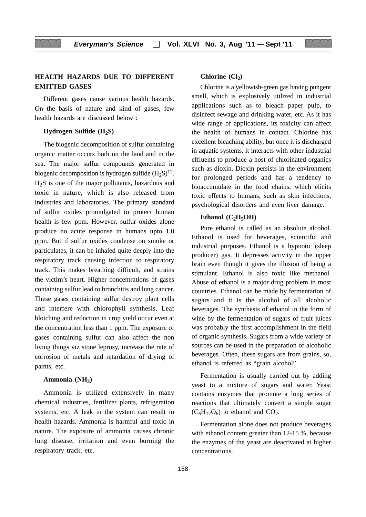## **HEALTH HAZARDS DUE TO DIFFERENT EMITTED GASES**

Different gases cause various health hazards. On the basis of nature and kind of gases, few health hazards are discussed below :

#### **Hydrogen Sulfide (H<sub>2</sub>S)**

The biogenic decomposition of sulfur containing organic matter occurs both on the land and in the sea. The major sulfur compounds generated in biogenic decomposition is hydrogen sulfide  $(H_2S)^{12}$ .  $H<sub>2</sub>S$  is one of the major pollutants, hazardous and toxic in nature, which is also released from industries and laboratories. The primary standard of sulfur oxides promulgated to protect human health is few ppm. However, sulfur oxides alone produce no acute response in humans upto 1.0 ppm. But if sulfur oxides condense on smoke or particulates, it can be inhaled quite deeply into the respiratory track causing infection to respiratory track. This makes breathing difficult, and strains the victim's heart. Higher concentrations of gases containing sulfur lead to bronchitis and lung cancer. These gases containing sulfur destroy plant cells and interfere with chlorophyll synthesis. Leaf blotching and reduction in crop yield occur even at the concentration less than 1 ppm. The exposure of gases containing sulfur can also affect the non living things viz stone leprosy, increase the rate of corrosion of metals and retardation of drying of paints, etc.

#### **Ammonia (NH3)**

Ammonia is utilized extensively in many chemical industries, fertilizer plants, refrigeration systems, etc. A leak in the system can result in health hazards. Ammonia is harmful and toxic in nature. The exposure of ammonia causes chronic lung disease, irritation and even burning the respiratory track, etc.

#### **Chlorine** (Cl<sub>2</sub>)

Chlorine is a yellowish-green gas having pungent smell, which is explosively utilized in industrial applications such as to bleach paper pulp, to disinfect sewage and drinking water, etc. As it has wide range of applications, its toxicity can affect the health of humans in contact. Chlorine has excellent bleaching ability, but once it is discharged in aquatic systems, it interacts with other industrial effluents to produce a host of chlorinated organics such as dioxin. Dioxin persists in the environment for prolonged periods and has a tendency to bioaccumulate in the food chains, which elicits toxic effects to humans, such as skin infections, psychological disorders and even liver damage.

#### Ethanol  $(C_2H_5OH)$

Pure ethanol is called as an absolute alcohol. Ethanol is used for beverages, scientific and industrial purposes. Ethanol is a hypnotic (sleep producer) gas. It depresses activity in the upper brain even though it gives the illusion of being a stimulant. Ethanol is also toxic like methanol. Abuse of ethanol is a major drug problem in most countries. Ethanol can be made by fermentation of sugars and it is the alcohol of all alcoholic beverages. The synthesis of ethanol in the form of wine by the fermentation of sugars of fruit juices was probably the first accomplishment in the field of organic synthesis. Sugars from a wide variety of sources can be used in the preparation of alcoholic beverages. Often, these sugars are from grains, so, ethanol is referred as "grain alcohol".

Fermentation is usually carried out by adding yeast to a mixture of sugars and water. Yeast contains enzymes that promote a long series of reactions that ultimately convert a simple sugar  $(C_6H_{12}O_6)$  to ethanol and  $CO_2$ .

Fermentation alone does not produce beverages with ethanol content greater than 12-15 %, because the enzymes of the yeast are deactivated at higher concentrations.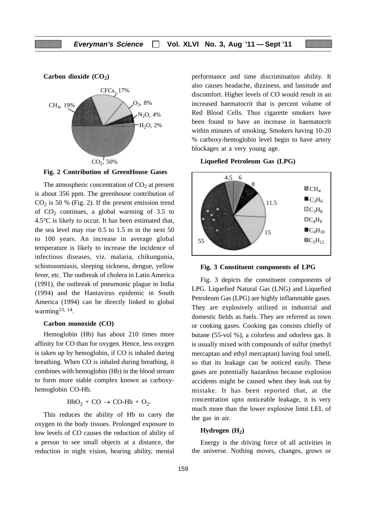

**Fig. 2 Contribution of GreenHouse Gases**

The atmospheric concentration of  $CO<sub>2</sub>$  at present is about 356 ppm. The greenhouse contribution of  $CO<sub>2</sub>$  is 50 % (Fig. 2). If the present emission trend of  $CO<sub>2</sub>$  continues, a global warming of 3.5 to 4.5°C is likely to occur. It has been estimated that, the sea level may rise 0.5 to 1.5 m in the next 50 to 100 years. An increase in average global temperature is likely to increase the incidence of infectious diseases, viz. malaria, chikungunia, schistosomiasis, sleeping sickness, dengue, yellow fever, etc. The outbreak of cholera in Latin America (1991), the outbreak of pneumonic plague in India (1994) and the Hantavirus epidemic in South America (1994) can be directly linked to global warming<sup>13, 14</sup>.

#### **Carbon monoxide (CO)**

Hemoglobin (Hb) has about 210 times more affinity for CO than for oxygen. Hence, less oxygen is taken up by hemoglobin, if CO is inhaled during breathing. When CO is inhaled during breathing, it combines with hemoglobin (Hb) in the blood stream to form more stable complex known as carboxyhemoglobin CO-Hb.

 $HbO<sub>2</sub> + CO \rightarrow CO-Hb + O<sub>2</sub>.$ 

This reduces the ability of Hb to carry the oxygen to the body tissues. Prolonged exposure to low levels of CO causes the reduction of ability of a person to see small objects at a distance, the reduction in night vision, hearing ability, mental performance and time discrimination ability. It also causes headache, dizziness, and lassitude and discomfort. Higher levels of CO would result in an increased haematocrit that is percent volume of Red Blood Cells. Thus cigarette smokers have been found to have an increase in haematocrit within minutes of smoking. Smokers having 10-20 % carboxy-hemoglobin level begin to have artery blockages at a very young age.

**Liquefied Petroleum Gas (LPG)**



**Fig. 3 Constituent components of LPG**

Fig. 3 depicts the constituent components of LPG. Liquefied Natural Gas (LNG) and Liquefied Petroleum Gas (LPG) are highly inflammable gases. They are explosively utilized in industrial and domestic fields as fuels. They are referred as town or cooking gases. Cooking gas consists chiefly of butane (55-vol %), a colorless and odorless gas. It is usually mixed with compounds of sulfur (methyl mercaptan and ethyl mercaptan) having foul smell, so that its leakage can be noticed easily. These gases are potentially hazardous because explosion accidents might be caused when they leak out by mistake. It has been reported that, at the concentration upto noticeable leakage, it is very much more than the lower explosive limit LEL of the gas in air.

#### Hydrogen (H<sub>2</sub>)

Energy is the driving force of all activities in the universe. Nothing moves, changes, grows or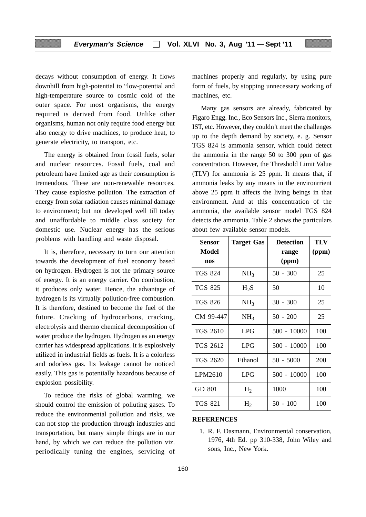decays without consumption of energy. It flows downhill from high-potential to "low-potential and high-temperature source to cosmic cold of the outer space. For most organisms, the energy required is derived from food. Unlike other organisms, human not only require food energy but also energy to drive machines, to produce heat, to generate electricity, to transport, etc.

The energy is obtained from fossil fuels, solar and nuclear resources. Fossil fuels, coal and petroleum have limited age as their consumption is tremendous. These are non-renewable resources. They cause explosive pollution. The extraction of energy from solar radiation causes minimal damage to environment; but not developed well till today and unaffordable to middle class society for domestic use. Nuclear energy has the serious problems with handling and waste disposal.

It is, therefore, necessary to turn our attention towards the development of fuel economy based on hydrogen. Hydrogen is not the primary source of energy. It is an energy carrier. On combustion, it produces only water. Hence, the advantage of hydrogen is its virtually pollution-free combustion. It is therefore, destined to become the fuel of the future. Cracking of hydrocarbons, cracking, electrolysis and thermo chemical decomposition of water produce the hydrogen. Hydrogen as an energy carrier has widespread applications. It is explosively utilized in industrial fields as fuels. It is a colorless and odorless gas. Its leakage cannot be noticed easily. This gas is potentially hazardous because of explosion possibility.

To reduce the risks of global warming, we should control the emission of polluting gases. To reduce the environmental pollution and risks, we can not stop the production through industries and transportation, but many simple things are in our hand, by which we can reduce the pollution viz. periodically tuning the engines, servicing of machines properly and regularly, by using pure form of fuels, by stopping unnecessary working of machines, etc.

Many gas sensors are already, fabricated by Figaro Engg. Inc., Eco Sensors Inc., Sierra monitors, IST, etc. However, they couldn't meet the challenges up to the depth demand by society, e. g. Sensor TGS 824 is ammonia sensor, which could detect the ammonia in the range 50 to 300 ppm of gas concentration. However, the Threshold Limit Value (TLV) for ammonia is 25 ppm. It means that, if ammonia leaks by any means in the environrrient above 25 ppm it affects the living beings in that environment. And at this concentration of the ammonia, the available sensor model TGS 824 detects the ammonia. Table 2 shows the particulars about few available sensor models.

| <b>Sensor</b><br><b>Model</b> | <b>Target Gas</b> | <b>Detection</b><br>range | <b>TLV</b><br>(ppm) |
|-------------------------------|-------------------|---------------------------|---------------------|
| nos                           |                   | (ppm)                     |                     |
| <b>TGS 824</b>                | NH <sub>3</sub>   | $50 - 300$                | 25                  |
| <b>TGS 825</b>                | $H_2S$            | 50                        | 10                  |
| <b>TGS 826</b>                | NH <sub>3</sub>   | $30 - 300$                | 25                  |
| CM 99-447                     | NH <sub>3</sub>   | $50 - 200$                | 25                  |
| <b>TGS 2610</b>               | <b>LPG</b>        | $500 - 10000$             | 100                 |
| TGS 2612                      | <b>LPG</b>        | $500 - 10000$             | 100                 |
| TGS 2620                      | Ethanol           | $50 - 5000$               | 200                 |
| LPM2610                       | <b>LPG</b>        | $500 - 10000$             | 100                 |
| GD 801                        | $H_2$             | 1000                      | 100                 |
| <b>TGS 821</b>                | H <sub>2</sub>    | $50 - 100$                | 100                 |

#### **REFERENCES**

1. R. F. Dasmann, Environmental conservation, 1976, 4th Ed. pp 310-338, John Wiley and sons, Inc., New York.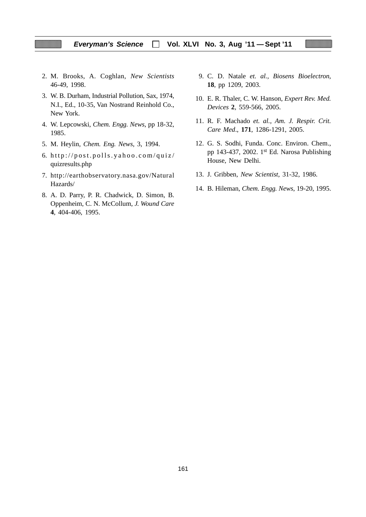- 2. M. Brooks, A. Coghlan, *New Scientists* 46-49, 1998.
- 3. W. B. Durham, Industrial Pollution, Sax, 1974, N.I., Ed., 10-35, Van Nostrand Reinhold Co., New York.
- 4. W. Lepcowski, *Chem. Engg. News*, pp 18-32, 1985.
- 5. M. Heylin, *Chem. Eng. News*, 3, 1994.
- 6. http://post.polls.yahoo.com/quiz/ quizresults.php
- 7. http://earthobservatory.nasa.gov/Natural Hazards/
- 8. A. D. Parry, P. R. Chadwick, D. Simon, B. Oppenheim, C. N. McCollum, *J. Wound Care* **4**, 404-406, 1995.
- 9. C. D. Natale *et. al., Biosens Bioelectron*, **18**, pp 1209, 2003.
- 10. E. R. Thaler, C. W. Hanson, *Expert Rev. Med. Devices* **2**, 559-566, 2005.
- 11. R. F. Machado *et. al., Am. J. Respir. Crit. Care Med*., **171**, 1286-1291, 2005.
- 12. G. S. Sodhi, Funda. Conc. Environ. Chem., pp 143-437, 2002. 1st Ed. Narosa Publishing House, New Delhi.
- 13. J. Gribben, *New Scientist*, 31-32, 1986.
- 14. B. Hileman, *Chem. Engg. News*, 19-20, 1995.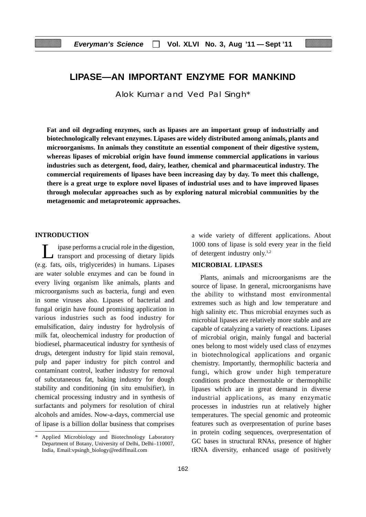# **LIPASE—AN IMPORTANT ENZYME FOR MANKIND**

Alok Kumar and Ved Pal Singh\*

**Fat and oil degrading enzymes, such as lipases are an important group of industrially and biotechnologically relevant enzymes. Lipases are widely distributed among animals, plants and microorganisms. In animals they constitute an essential component of their digestive system, whereas lipases of microbial origin have found immense commercial applications in various industries such as detergent, food, dairy, leather, chemical and pharmaceutical industry. The commercial requirements of lipases have been increasing day by day. To meet this challenge, there is a great urge to explore novel lipases of industrial uses and to have improved lipases through molecular approaches such as by exploring natural microbial communities by the metagenomic and metaproteomic approaches.**

#### **INTRODUCTION**

Lipase performs a crucial role in the digestion, transport and processing of dietary lipids (e.g. fats, oils, triglycerides) in humans. Lipases are water soluble enzymes and can be found in every living organism like animals, plants and microorganisms such as bacteria, fungi and even in some viruses also. Lipases of bacterial and fungal origin have found promising application in various industries such as food industry for emulsification, dairy industry for hydrolysis of milk fat, oleochemical industry for production of biodiesel, pharmaceutical industry for synthesis of drugs, detergent industry for lipid stain removal, pulp and paper industry for pitch control and contaminant control, leather industry for removal of subcutaneous fat, baking industry for dough stability and conditioning (in situ emulsifier), in chemical processing industry and in synthesis of surfactants and polymers for resolution of chiral alcohols and amides. Now-a-days, commercial use of lipase is a billion dollar business that comprises a wide variety of different applications. About 1000 tons of lipase is sold every year in the field of detergent industry only.1,2

#### **MICROBIAL LIPASES**

Plants, animals and microorganisms are the source of lipase. In general, microorganisms have the ability to withstand most environmental extremes such as high and low temperature and high salinity etc. Thus microbial enzymes such as microbial lipases are relatively more stable and are capable of catalyzing a variety of reactions. Lipases of microbial origin, mainly fungal and bacterial ones belong to most widely used class of enzymes in biotechnological applications and organic chemistry. Importantly, thermophilic bacteria and fungi, which grow under high temperature conditions produce thermostable or thermophilic lipases which are in great demand in diverse industrial applications, as many enzymatic processes in industries run at relatively higher temperatures. The special genomic and proteomic features such as overpresentation of purine bases in protein coding sequences, overpresentation of GC bases in structural RNAs, presence of higher tRNA diversity, enhanced usage of positively

Applied Microbiology and Biotechnology Laboratory Department of Botany, University of Delhi, Delhi–110007, India, Email:vpsingh\_biology@rediffmail.com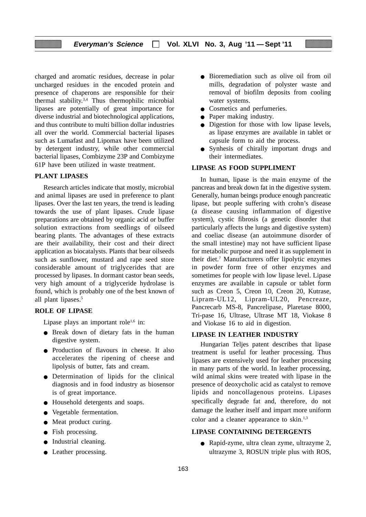charged and aromatic residues, decrease in polar uncharged residues in the encoded protein and presence of chaperons are responsible for their thermal stability.3,4 Thus thermophilic microbial lipases are potentially of great importance for diverse industrial and biotechnological applications, and thus contribute to multi billion dollar industries all over the world. Commercial bacterial lipases such as Lumafast and Lipomax have been utilized by detergent industry, while other commercial bacterial lipases, Combizyme 23P and Combizyme 61P have been utilized in waste treatment.

#### **PLANT LIPASES**

Research articles indicate that mostly, microbial and animal lipases are used in preference to plant lipases. Over the last ten years, the trend is leading towards the use of plant lipases. Crude lipase preparations are obtained by organic acid or buffer solution extractions from seedlings of oilseed bearing plants. The advantages of these extracts are their availability, their cost and their direct application as biocatalysts. Plants that bear oilseeds such as sunflower, mustard and rape seed store considerable amount of triglycerides that are processed by lipases. In dormant castor bean seeds, very high amount of a triglyceride hydrolase is found, which is probably one of the best known of all plant lipases.<sup>5</sup>

#### **ROLE OF LIPASE**

Lipase plays an important role<sup>1,6</sup> in:

- Break down of dietary fats in the human digestive system.
- Production of flavours in cheese. It also accelerates the ripening of cheese and lipolysis of butter, fats and cream.
- Determination of lipids for the clinical diagnosis and in food industry as biosensor is of great importance.
- Household detergents and soaps.
- Vegetable fermentation.
- Meat product curing.
- Fish processing.
- Industrial cleaning.
- Leather processing.
- Bioremediation such as olive oil from oil mills, degradation of polyster waste and removal of biofilm deposits from cooling water systems.
- Cosmetics and perfumeries.
- Paper making industry.
- Digestion for those with low lipase levels, as lipase enzymes are available in tablet or capsule form to aid the process.
- Synhesis of chirally important drugs and their intermediates.

#### **LIPASE AS FOOD SUPPLIMENT**

In human, lipase is the main enzyme of the pancreas and break down fat in the digestive system. Generally, human beings produce enough pancreatic lipase, but people suffering with crohn's disease (a disease causing inflammation of digestive system), cystic fibrosis (a genetic disorder that particularly affects the lungs and digestive system) and coeliac disease (an autoimmune disorder of the small intestine) may not have sufficient lipase for metabolic purpose and need it as supplement in their diet.<sup>7</sup> Manufacturers offer lipolytic enzymes in powder form free of other enzymes and sometimes for people with low lipase level. Lipase enzymes are available in capsule or tablet form such as Creon 5, Creon 10, Creon 20, Kutrase, Lipram-UL12, Lipram-UL20, Pencreaze, Pancrecarb MS-8, Pancrelipase, Plaretase 8000, Tri-pase 16, Ultrase, Ultrase MT 18, Viokase 8 and Viokase 16 to aid in digestion.

#### **LIPASE IN LEATHER INDUSTRY**

Hungarian Teljes patent describes that lipase treatment is useful for leather processing. Thus lipases are extensively used for leather processing in many parts of the world. In leather processing, wild animal skins were treated with lipase in the presence of deoxycholic acid as catalyst to remove lipids and noncollagenous proteins. Lipases specifically degrade fat and, therefore, do not damage the leather itself and impart more uniform color and a cleaner appearance to skin.<sup>1,3</sup>

#### **LIPASE CONTAINING DETERGENTS**

● Rapid-zyme, ultra clean zyme, ultrazyme 2, ultrazyme 3, ROSUN triple plus with ROS,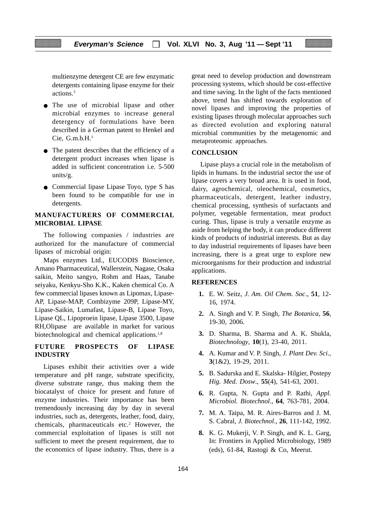multienzyme detergent CE are few enzymatic detergents containing lipase enzyme for their actions.3

- The use of microbial lipase and other microbial enzymes to increase general detergency of formulations have been described in a German patent to Henkel and Cie,  $G.m.b.H.<sup>1</sup>$
- The patent describes that the efficiency of a detergent product increases when lipase is added in sufficient concentration i.e. 5-500 units/g.
- Commercial lipase Lipase Toyo, type S has been found to be compatible for use in detergents.

#### **MANUFACTURERS OF COMMERCIAL MICROBIAL LIPASE**

The following companies / industries are authorized for the manufacture of commercial lipases of microbial origin:

Maps enzymes Ltd., EUCODIS Bioscience, Amano Pharmaceutical, Wallerstein, Nagase, Osaka saikin, Meito sangyo, Rohm and Haas, Tanabe seiyaku, Kenkyu-Sho K.K., Kaken chemical Co. A few commercial lipases known as Lipomax, Lipase-AP, Lipase-MAP, Combizyme 209P, Lipase-MY, Lipase-Saikin, Lumafast, Lipase-B, Lipase Toyo, Lipase QL, Lipoproein lipase, Lipase 3500, Lipase RH,Olipase are available in market for various biotechnological and chemical applications.<sup>1,8</sup>

#### **FUTURE PROSPECTS OF LIPASE INDUSTRY**

Lipases exhibit their activities over a wide temperature and pH range, substrate specificity, diverse substrate range, thus making them the biocatalyst of choice for present and future of enzyme industries. Their importance has been tremendously increasing day by day in several industries, such as, detergents, leather, food, dairy, chemicals, pharmaceuticals etc.<sup>2</sup> However, the commercial exploitation of lipases is still not sufficient to meet the present requirement, due to the economics of lipase industry. Thus, there is a great need to develop production and downstream processing systems, which should be cost-effective and time saving. In the light of the facts mentioned above, trend has shifted towards exploration of novel lipases and improving the properties of existing lipases through molecular approaches such as directed evolution and exploring natural microbial communities by the metagenomic and metaproteomic approaches.

#### **CONCLUSION**

Lipase plays a crucial role in the metabolism of lipids in humans. In the industrial sector the use of lipase covers a very broad area. It is used in food, dairy, agrochemical, oleochemical, cosmetics, pharmaceuticals, detergent, leather industry, chemical processing, synthesis of surfactants and polymer, vegetable fermentation, meat product curing. Thus, lipase is truly a versatile enzyme as aside from helping the body, it can produce different kinds of products of industrial interests. But as day to day industrial requirements of lipases have been increasing, there is a great urge to explore new microorganisms for their production and industrial applications.

#### **REFERENCES**

- **1.** E. W. Seitz, *J. Am. Oil Chem. Soc*., **51**, 12- 16, 1974.
- **2.** A. Singh and V. P. Singh, *The Botanica*, **56**, 19-30, 2006.
- **3.** D. Sharma, B. Sharma and A. K. Shukla, *Biotechnology*, **10**(1), 23-40, 2011.
- **4.** A. Kumar and V. P. Singh, *J. Plant Dev. Sci*., **3**(1&2), 19-29, 2011.
- **5.** B. Sadurska and E. Skalska- Hilgier, Postepy *Hig. Med. Dosw*., **55**(4), 541-63, 2001.
- **6.** R. Gupta, N. Gupta and P. Rathi, *Appl. Microbiol. Biotechnol*., **64**, 763-781, 2004.
- **7.** M. A. Taipa, M. R. Aires-Barros and J. M. S. Cabral, *J. Biotechnol*., **26**, 111-142, 1992.
- **8.** K. G. Mukerji, V. P. Singh, and K. L. Garg, In: Frontiers in Applied Microbiology, 1989 (eds), 61-84, Rastogi & Co, Meerut.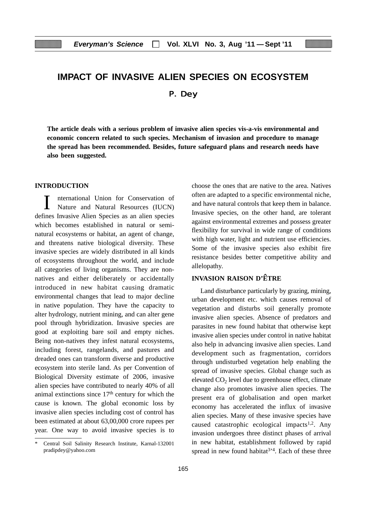# **IMPACT OF INVASIVE ALIEN SPECIES ON ECOSYSTEM** P. Dey

**The article deals with a serious problem of invasive alien species vis-a-vis environmental and economic concern related to such species. Mechanism of invasion and procedure to manage the spread has been recommended. Besides, future safeguard plans and research needs have also been suggested.**

#### **INTRODUCTION**

I nternational Union for Conservation of Nature and Natural Resources (IUCN) defines Invasive Alien Species as an alien species which becomes established in natural or seminatural ecosystems or habitat, an agent of change, and threatens native biological diversity. These invasive species are widely distributed in all kinds of ecosystems throughout the world, and include all categories of living organisms. They are nonnatives and either deliberately or accidentally introduced in new habitat causing dramatic environmental changes that lead to major decline in native population. They have the capacity to alter hydrology, nutrient mining, and can alter gene pool through hybridization. Invasive species are good at exploiting bare soil and empty niches. Being non-natives they infest natural ecosystems, including forest, rangelands, and pastures and dreaded ones can transform diverse and productive ecosystem into sterile land. As per Convention of Biological Diversity estimate of 2006, invasive alien species have contributed to nearly 40% of all animal extinctions since 17th century for which the cause is known. The global economic loss by invasive alien species including cost of control has been estimated at about 63,00,000 crore rupees per year. One way to avoid invasive species is to

choose the ones that are native to the area. Natives often are adapted to a specific environmental niche, and have natural controls that keep them in balance. Invasive species, on the other hand, are tolerant against environmental extremes and possess greater flexibility for survival in wide range of conditions with high water, light and nutrient use efficiencies. Some of the invasive species also exhibit fire resistance besides better competitive ability and allelopathy.

#### **INVASION RAISON D'ETRE**

Land disturbance particularly by grazing, mining, urban development etc. which causes removal of vegetation and disturbs soil generally promote invasive alien species. Absence of predators and parasites in new found habitat that otherwise kept invasive alien species under control in native habitat also help in advancing invasive alien species. Land development such as fragmentation, corridors through undisturbed vegetation help enabling the spread of invasive species. Global change such as elevated  $CO<sub>2</sub>$  level due to greenhouse effect, climate change also promotes invasive alien species. The present era of globalisation and open market economy has accelerated the influx of invasive alien species. Many of these invasive species have caused catastrophic ecological impacts1,2. Any invasion undergoes three distinct phases of arrival in new habitat, establishment followed by rapid spread in new found habitat<sup>3 $*$ 4</sup>. Each of these three

Central Soil Salinity Research Institute, Karnal-132001 pradipdey@yahoo.com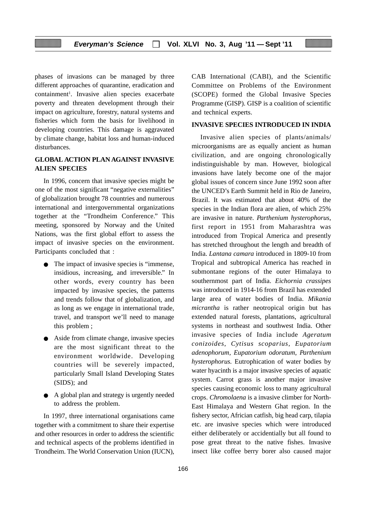phases of invasions can be managed by three different approaches of quarantine, eradication and containment<sup>1</sup>. Invasive alien species exacerbate poverty and threaten development through their impact on agriculture, forestry, natural systems and fisheries which form the basis for livelihood in developing countries. This damage is aggravated by climate change, habitat loss and human-induced disturbances.

## **GLOBAL ACTION PLAN AGAINST INVASIVE ALIEN SPECIES**

In 1996, concern that invasive species might be one of the most significant "negative externalities" of globalization brought 78 countries and numerous international and intergovernmental organizations together at the "Trondheim Conference." This meeting, sponsored by Norway and the United Nations, was the first global effort to assess the impact of invasive species on the environment. Participants concluded that :

- The impact of invasive species is "immense, insidious, increasing, and irreversible." In other words, every country has been impacted by invasive species, the patterns and trends follow that of globalization, and as long as we engage in international trade, travel, and transport we'll need to manage this problem ;
- Aside from climate change, invasive species are the most significant threat to the environment worldwide. Developing countries will be severely impacted, particularly Small Island Developing States (SIDS); and
- A global plan and strategy is urgently needed to address the problem.

In 1997, three international organisations came together with a commitment to share their expertise and other resources in order to address the scientific and technical aspects of the problems identified in Trondheim. The World Conservation Union (IUCN), CAB International (CABI), and the Scientific Committee on Problems of the Environment (SCOPE) formed the Global Invasive Species Programme (GISP). GISP is a coalition of scientific and technical experts.

#### **INVASIVE SPECIES INTRODUCED IN INDIA**

Invasive alien species of plants/animals/ microorganisms are as equally ancient as human civilization, and are ongoing chronologically indistinguishable by man. However, biological invasions have lately become one of the major global issues of concern since June 1992 soon after the UNCED's Earth Summit held in Rio de Janeiro, Brazil. It was estimated that about 40% of the species in the Indian flora are alien, of which 25% are invasive in nature. *Parthenium hysterophorus*, first report in 1951 from Maharashtra was introduced from Tropical America and presently has stretched throughout the length and breadth of India. *Lantana camara* introduced in 1809-10 from Tropical and subtropical America has reached in submontane regions of the outer Himalaya to southernmost part of India. *Eichornia crassipes* was introduced in 1914-16 from Brazil has extended large area of water bodies of India. *Mikania micrantha* is rather neotropical origin but has extended natural forests, plantations, agricultural systems in northeast and southwest India. Other invasive species of India include *Ageratum conizoides*, *Cytisus scoparius*, *Eupatorium adenophorum*, *Eupatorium odoratum*, *Parthenium hysterophorus*. Eutrophication of water bodies by water hyacinth is a major invasive species of aquatic system. Carrot grass is another major invasive species causing economic loss to many agricultural crops. *Chromolaena* is a invasive climber for North-East Himalaya and Western Ghat region. In the fishery sector, Africian catfish, big head carp, tilapia etc. are invasive species which were introduced either deliberately or accidentially but all found to pose great threat to the native fishes. Invasive insect like coffee berry borer also caused major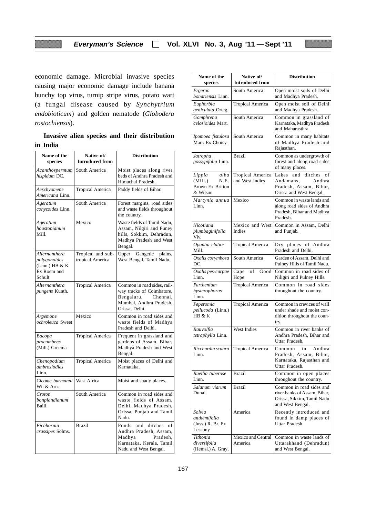economic damage. Microbial invasive species causing major economic damage include banana bunchy top virus, turnip stripe virus, potato wart (a fungal disease caused by *Synchytrium endobioticum*) and golden nematode (*Globodera rostochiensis*).

|          |  |  | Invasive alien species and their distribution |
|----------|--|--|-----------------------------------------------|
| in India |  |  |                                               |

| Name of the<br>species                                                     | Native of/<br><b>Introduced from</b>  | <b>Distribution</b>                                                                                                             |
|----------------------------------------------------------------------------|---------------------------------------|---------------------------------------------------------------------------------------------------------------------------------|
| Acanthospermum<br>hispidum DC.                                             | South America                         | Moist places along river<br>beds of Andhra Pradesh and<br>Himachal Pradesh.                                                     |
| Aeschyomene<br><i>Americana L</i> inn.                                     | <b>Tropical America</b>               | Paddy fields of Bihar.                                                                                                          |
| Ageratum<br>conyzoides Linn.                                               | South America                         | Forest margins, road sides<br>and waste fields throughout<br>the country.                                                       |
| Ageratum<br>houstonianum<br>Mill.                                          | Mexico                                | Waste fields of Tamil Nadu,<br>Assam, Nilgiri and Puney<br>hills, Sokkim, Dehradun,<br>Madhya Pradesh and West<br>Bengal.       |
| Alternanthera<br>polygonoides<br>$(Linn.)$ HB & K<br>Ex Roem and<br>Schult | Tropical and sub-<br>tropical America | Upper<br>Gangetic plains,<br>West Bengal, Tamil Nadu.                                                                           |
| Alternanthera<br><i>pungens</i> Kunth.                                     | Tropical America                      | Common in road sides, rail-<br>way tracks of Coimbatore,<br>Bengaluru,<br>Chennai,<br>Mumbai, Andhra Pradesh,<br>Orissa, Delhi. |
| Argemone<br>ochroleuca Sweet                                               | Mexico                                | Common in road sides and<br>waste fields of Madhya<br>Pradesh and Delhi.                                                        |
| Bacopa<br>procumbens<br>(Mill.) Greema                                     | <b>Tropical America</b>               | Frequent in grassland and<br>gardens of Assam, Bihar,<br>Madhya Pradesh and West<br>Bengal.                                     |
| Chenopodium<br>ambrosiodies<br>Linn.                                       | <b>Tropical America</b>               | Moist places of Delhi and<br>Karnataka.                                                                                         |
| Cleome burmanni<br>Wt. & Arn.                                              | <b>West Africa</b>                    | Moist and shady places.                                                                                                         |
| Croton<br>bonplandianum<br>Baill.                                          | South America                         | Common in road sides and<br>waste fields of Assam,<br>Delhi, Madhya Pradesh,<br>Orissa, Punjab and Tamil<br>Nadu.               |
| Eichhornia<br>crassipes Solms.                                             | <b>Brazil</b>                         | ditches of<br>Ponds<br>and<br>Andhra Pradesh, Assam,<br>Madhya<br>Pradesh,<br>Karnataka, Kerala, Tamil<br>Nadu and West Bengal. |

| Name of the                                                              | Native of/                          | <b>Distribution</b>                                                                                        |
|--------------------------------------------------------------------------|-------------------------------------|------------------------------------------------------------------------------------------------------------|
| species                                                                  | <b>Introduced from</b>              |                                                                                                            |
| Ergeron<br>bonariensis Linn.                                             | South America                       | Open moist soils of Delhi<br>and Madhya Pradesh.                                                           |
| Euphorbia<br>geniculata Orteg.                                           | <b>Tropical America</b>             | Open moist soil of Delhi<br>and Madhya Pradesh.                                                            |
| Gomphrena<br>celosioides Mart.                                           | South America                       | Common in grassland of<br>Karnataka, Madhya Pradesh<br>and Maharasthra.                                    |
| Ipomoea fistulosa<br>Mart. Ex Choisy.                                    | South America                       | Common in many habitats<br>of Madhya Pradesh and<br>Rajasthan.                                             |
| Jatropha<br>gossypifolia Linn.                                           | <b>Brazil</b>                       | Common as undergrowth of<br>forest and along road sides<br>of many places.                                 |
| alba<br>Lippia<br>(Mill.)<br>N.E.<br><b>Brown Ex Britton</b><br>& Wilson | Tropical America<br>and West Indies | ditches<br>Lakes<br>of<br>and<br>Andhra<br>Andamans,<br>Pradesh, Assam, Bihar,<br>Orissa and West Bengal.  |
| Martynia annua<br>Linn.                                                  | Mexico                              | Common in waste lands and<br>along road sides of Andhra<br>Pradesh, Bihar and Madhya<br>Pradesh.           |
| Nicotiana<br>plumbaginifolia<br>Viv.                                     | Mexico and West<br>Indies           | Common in Assam, Delhi<br>and Punjab.                                                                      |
| Opuntia elatior<br>Mill.                                                 | <b>Tropical America</b>             | Dry places of Andhra<br>Pradesh and Delhi.                                                                 |
| Oxalis corymbosa<br>DC.                                                  | South America                       | Garden of Assam, Delhi and<br>Pulney Hills of Tamil Nadu.                                                  |
| Oxalis pes-carpae<br>Linn.                                               | Good<br>Cape<br>of<br>Hope          | Common in road sides of<br>Niligiri and Pulney Hills.                                                      |
| Parthenium<br>hysterophorus<br>Linn.                                     | <b>Tropical America</b>             | Common in road sides<br>throughout the country.                                                            |
| Peperomia<br>pellucoda (Linn.)<br>HB & K                                 | <b>Tropical America</b>             | Common in crevices of wall<br>under shade and moist con-<br>dition throughout the coun-<br>try.            |
| Rauvolfia<br>tetraphylla Linn.                                           | West Indies                         | Common in river banks of<br>Andhra Pradesh, Bihar and<br>Uttar Pradesh.                                    |
| Ricchardia scabra   Tropical America<br>Linn.                            |                                     | Andhra<br>Common<br>in<br>Pradesh, Assam, Bihar,<br>Karnataka, Rajasthan and<br>Uttar Pradesh.             |
| Ruellia tuberose<br>Linn.                                                | <b>Brazil</b>                       | Common in open places<br>throughout the country.                                                           |
| Salanum viarum<br>Dunal.                                                 | <b>Brazil</b>                       | Common in road sides and<br>river banks of Assam, Bihar,<br>Orissa, Sikkim, Tamil Nadu<br>and West Bengal. |
| Solvia<br>anthemifolia<br>(Juss.) R. Br. Ex<br>Lessony                   | America                             | Recently introduced and<br>found in damp places of<br>Uttar Pradesh.                                       |
| Tithonia<br>diversifolia<br>(Hemsl.) A. Gray.                            | Mexico and Central<br>America       | Common in waste lands of<br>Uttarakhand (Dehradun)<br>and West Bengal.                                     |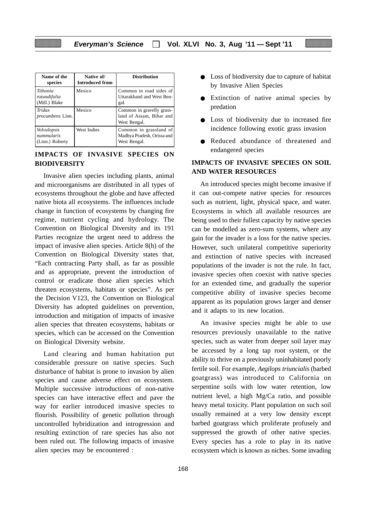| Name of the<br>species                       | Native of/<br><b>Introduced from</b> | <b>Distribution</b>                                                   |
|----------------------------------------------|--------------------------------------|-----------------------------------------------------------------------|
| Tithonia<br>rotundifolia<br>(Mill.) Blake    | Mexico                               | Common in road sides of<br>Uttarakhand and West Ben-<br>gal.          |
| Tridax<br><i>procumbens</i> Linn.            | Mexico                               | Common in gravelly grass-<br>land of Assam, Bihar and<br>West Bengal. |
| Volvulopsis<br>nummularis<br>(Linn.) Roberty | West Indies                          | Common in grassland of<br>Madhya Pradesh, Orissa and<br>West Bengal.  |

## **IMPACTS OF INVASIVE SPECIES ON BIODIVERSITY**

Invasive alien species including plants, animal and microorganisms are distributed in all types of ecosystems throughout the globe and have affected native biota all ecosystems. The influences include change in function of ecosystems by changing fire regime, nutrient cycling and hydrology. The Convention on Biological Diversity and its 191 Parties recognize the urgent need to address the impact of invasive alien species. Article 8(h) of the Convention on Biological Diversity states that, "Each contracting Party shall, as far as possible and as appropriate, prevent the introduction of control or eradicate those alien species which threaten ecosystems, habitats or species". As per the Decision V123, the Convention on Biological Diversity has adopted guidelines on prevention, introduction and mitigation of impacts of invasive alien species that threaten ecosystems, habitats or species, which can be accessed on the Convention on Biological Diversity website.

Land clearing and human habitation put considerable pressure on native species. Such disturbance of habitat is prone to invasion by alien species and cause adverse effect on ecosystem. Multiple successive introductions of non-native species can have interactive effect and pave the way for earlier introduced invasive species to flourish. Possibility of genetic pollution through uncontrolled hybridization and introgression and resulting extinction of rare species has also not been ruled out. The following impacts of invasive alien species may be encountered :

- Loss of biodiversity due to capture of habitat by Invasive Alien Species
- Extinction of native animal species by predation
- Loss of biodiversity due to increased fire incidence following exotic grass invasion
- Reduced abundance of threatened and endangered species

#### **IMPACTS OF INVASIVE SPECIES ON SOIL AND WATER RESOURCES**

An introduced species might become invasive if it can out-compete native species for resources such as nutrient, light, physical space, and water. Ecosystems in which all available resources are being used to their fullest capacity by native species can be modelled as zero-sum systems, where any gain for the invader is a loss for the native species. However, such unilateral competitive superiority and extinction of native species with increased populations of the invader is not the rule. In fact, invasive species often coexist with native species for an extended time, and gradually the superior competitive ability of invasive species become apparent as its population grows larger and denser and it adapts to its new location.

An invasive species might be able to use resources previously unavailable to the native species, such as water from deeper soil layer may be accessed by a long tap root system, or the ability to thrive on a previously uninhabitated poorly fertile soil. For example, *Aegilops triuncialis* (barbed goatgrass) was introduced to California on serpentine soils with low water retention, low nutrient level, a high Mg/Ca ratio, and possible heavy metal toxicity. Plant population on such soil usually remained at a very low density except barbed goatgrass which proliferate profusely and suppressed the growth of other native species. Every species has a role to play in its native ecosystem which is known as niches. Some invading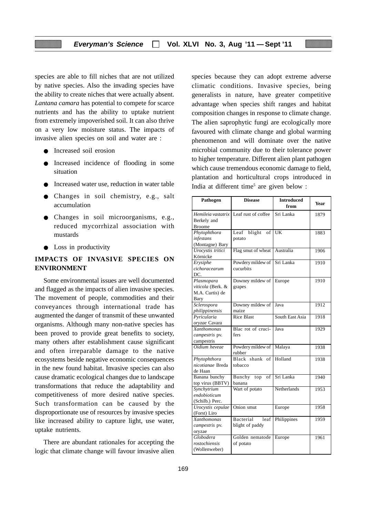species are able to fill niches that are not utilized by native species. Also the invading species have the ability to create niches that were actually absent. *Lantana camara* has potential to compete for scarce nutrients and has the ability to uptake nutrient from extremely impoverished soil. It can also thrive on a very low moisture status. The impacts of invasive alien species on soil and water are :

- Increased soil erosion
- Increased incidence of flooding in some situation
- Increased water use, reduction in water table
- Changes in soil chemistry, e.g., salt accumulation
- Changes in soil microorganisms, e.g., reduced mycorrhizal association with mustards
- Loss in productivity

#### **IMPACTS OF INVASIVE SPECIES ON ENVIRONMENT**

Some environmental issues are well documented and flagged as the impacts of alien invasive species. The movement of people, commodities and their conveyances through international trade has augmented the danger of transmit of these unwanted organisms. Although many non-native species has been proved to provide great benefits to society, many others after establishment cause significant and often irreparable damage to the native ecosystems beside negative economic consequences in the new found habitat. Invasive species can also cause dramatic ecological changes due to landscape transformations that reduce the adaptability and competitiveness of more desired native species. Such transformation can be caused by the disproportionate use of resources by invasive species like increased ability to capture light, use water, uptake nutrients.

There are abundant rationales for accepting the logic that climate change will favour invasive alien species because they can adopt extreme adverse climatic conditions. Invasive species, being generalists in nature, have greater competitive advantage when species shift ranges and habitat composition changes in response to climate change. The alien saprophytic fungi are ecologically more favoured with climate change and global warming phenomenon and will dominate over the native microbial community due to their tolerance power to higher temperature. Different alien plant pathogen which cause tremendous economic damage to field, plantation and horticultural crops introduced in India at different time<sup>5</sup> are given below :

| Pathogen                                                   | <b>Disease</b>                       | <b>Introduced</b><br>from | Year |
|------------------------------------------------------------|--------------------------------------|---------------------------|------|
| Hemileia vastatrix<br>Berkely and<br><b>Broome</b>         | Leaf rust of coffee                  | Sri Lanka                 | 1879 |
| Phytophthora<br>infestans<br>(Montagne) Bary               | Leaf<br>blight<br>of<br>potato       | UK                        | 1883 |
| Urocystis tritici<br>Körnicke                              | Flag smut of wheat                   | Australia                 | 1906 |
| Erysiphe<br>cichoracearum<br>DC.                           | Powdery mildew of<br>cucurbits       | Sri Lanka                 | 1910 |
| Plasmopara<br>viticola (Berk. &<br>M.A. Curtis) de<br>Bary | Downey mildew of<br>grapes           | Europe                    | 1910 |
| Sclerospora<br>philippinensis                              | Downey mildew of<br>maize            | Java                      | 1912 |
| Pyricularia<br>oryzae Cavara                               | <b>Rice Blast</b>                    | South East Asia           | 1918 |
| <b>Xanthomonas</b><br>campestris pv.<br>campestris         | Blac rot of cruci-<br>fers           | Java                      | 1929 |
| Oidium heveae                                              | Powdery mildew of<br>rubber          | Malaya                    | 1938 |
| Phytophthora<br>nicotianae Breda<br>de Haan                | Black shank<br>of<br>tobacco         | Holland                   | 1938 |
| Banana bunchy<br>top virus (BBTV)                          | Bunchy<br>top<br>of<br>banana        | Sri Lanka                 | 1940 |
| Synchytrium<br>endobioticum<br>(Schilb.) Perc.             | Wart of potato                       | Netherlands               | 1953 |
| Urocystis cepulae<br>(Forst) Liro                          | Onion smut                           | Europe                    | 1958 |
| Xanthomonas<br>campestris pv.<br>oryzae                    | Bacterial<br>leaf<br>blight of paddy | Philippines               | 1959 |
| Globodera<br>rostochiensis<br>(Wollenweber)                | Golden nematode<br>of potato         | Europe                    | 1961 |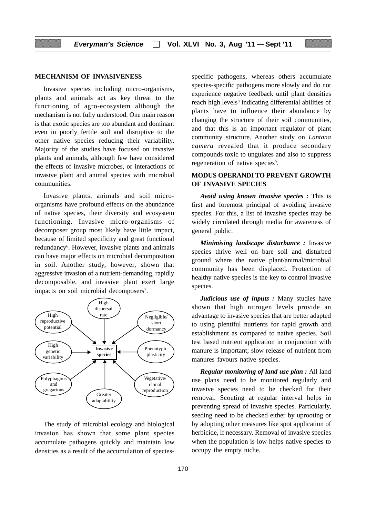#### **MECHANISM OF INVASIVENESS**

Invasive species including micro-organisms, plants and animals act as key threat to the functioning of agro-ecosystem although the mechanism is not fully understood. One main reason is that exotic species are too abundant and dominant even in poorly fertile soil and disruptive to the other native species reducing their variability. Majority of the studies have focused on invasive plants and animals, although few have considered the effects of invasive microbes, or interactions of invasive plant and animal species with microbial communities.

Invasive plants, animals and soil microorganisms have profound effects on the abundance of native species, their diversity and ecosystem functioning. Invasive micro-organisms of decomposer group most likely have little impact, because of limited specificity and great functional redundancy<sup>6</sup>. However, invasive plants and animals can have major effects on microbial decomposition in soil. Another study, however, shown that aggressive invasion of a nutrient-demanding, rapidly decomposable, and invasive plant exert large impacts on soil microbial decomposers<sup>7</sup>.



The study of microbial ecology and biological invasion has shown that some plant species accumulate pathogens quickly and maintain low densities as a result of the accumulation of speciesspecific pathogens, whereas others accumulate species-specific pathogens more slowly and do not experience negative feedback until plant densities reach high levels<sup>8</sup> indicating differential abilities of plants have to influence their abundance by changing the structure of their soil communities, and that this is an important regulator of plant community structure. Another study on *Lantana camera* revealed that it produce secondary compounds toxic to ungulates and also to suppress regeneration of native species<sup>9</sup>.

#### **MODUS OPERANDI TO PREVENT GROWTH OF INVASIVE SPECIES**

*Avoid using known invasive species :* This is first and foremost principal of avoiding invasive species. For this, a list of invasive species may be widely circulated through media for awareness of general public.

*Minimising landscape disturbance :* Invasive species thrive well on bare soil and disturbed ground where the native plant/animal/microbial community has been displaced. Protection of healthy native species is the key to control invasive species.

*Judicious use of inputs :* Many studies have shown that high nitrogen levels provide an advantage to invasive species that are better adapted to using plentiful nutrients for rapid growth and establishment as compared to native species. Soil test based nutrient application in conjunction with manure is important; slow release of nutrient from manures favours native species.

*Regular monitoring of land use plan :* All land use plans need to be monitored regularly and invasive species need to be checked for their removal. Scouting at regular interval helps in preventing spread of invasive species. Particularly, seeding need to be checked either by uprooting or by adopting other measures like spot application of herbicide, if necessary. Removal of invasive species when the population is low helps native species to occupy the empty niche.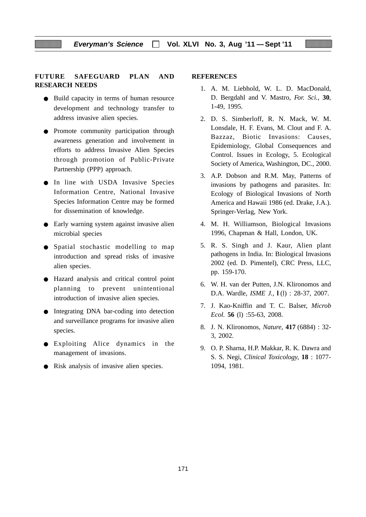#### **FUTURE SAFEGUARD PLAN AND RESEARCH NEEDS**

- Build capacity in terms of human resource development and technology transfer to address invasive alien species.
- Promote community participation through awareness generation and involvement in efforts to address Invasive Alien Species through promotion of Public-Private Partnership (PPP) approach.
- **•** In line with USDA Invasive Species Information Centre, National Invasive Species Information Centre may be formed for dissemination of knowledge.
- Early warning system against invasive alien microbial species
- Spatial stochastic modelling to map introduction and spread risks of invasive alien species.
- Hazard analysis and critical control point planning to prevent unintentional introduction of invasive alien species.
- Integrating DNA bar-coding into detection and surveillance programs for invasive alien species.
- Exploiting Alice dynamics in the management of invasions.
- Risk analysis of invasive alien species.

#### **REFERENCES**

- 1. A. M. Liebhold, W. L. D. MacDonald, D. Bergdahl and V. Mastro, *For. Sci.,* **30**, 1-49, 1995.
- 2. D. S. Simberloff, R. N. Mack, W. M. Lonsdale, H. F. Evans, M. Clout and F. A. Bazzaz, Biotic Invasions: Causes, Epidemiology, Global Consequences and Control. Issues in Ecology, 5. Ecological Society of America, Washington, DC., 2000.
- 3. A.P. Dobson and R.M. May, Patterns of invasions by pathogens and parasites. In: Ecology of Biological Invasions of North America and Hawaii 1986 (ed. Drake, J.A.). Springer-Verlag, New York.
- 4. M. H. Williamson, Biological Invasions 1996, Chapman & Hall, London, UK.
- 5. R. S. Singh and J. Kaur, Alien plant pathogens in India. In: Biological Invasions 2002 (ed. D. Pimentel), CRC Press, LLC, pp. 159-170.
- 6. W. H. van der Putten, J.N. Klironomos and D.A. Wardle, *ISME J.,* **l** (l) : 28-37, 2007.
- 7. J. Kao-Kniffin and T. C. Balser, *Microb Ecol.* **56** (l) :55-63, 2008.
- 8. J. N. Klironomos, *Nature,* **417** (6884) : 32- 3, 2002.
- 9. O. P. Sharna, H.P. Makkar, R. K. Dawra and S. S. Negi, *Clinical Toxicology,* **18** : 1077- 1094, 1981.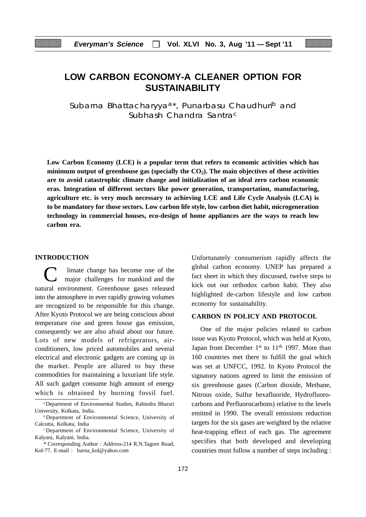# **LOW CARBON ECONOMY-A CLEANER OPTION FOR SUSTAINABILITY**

Subarna Bhattacharyya<sup>a\*</sup>, Punarbasu Chaudhuri<sup>b</sup> and Subhash Chandra Santrac

**Low Carbon Economy (LCE) is a popular term that refers to economic activities which has** minimum output of greenhouse gas (specially the CO<sub>2</sub>). The main objectives of these activities **are to avoid catastrophic climate change and initialization of an ideal zero carbon economic eras. Integration of different sectors like power generation, transportation, manufacturing, agriculture etc. is very much necessary to achieving LCE and Life Cycle Analysis (LCA) is to be mandatory for those sectors. Low carbon life style, low carbon diet habit, microgeneration technology in commercial houses, eco-design of home appliances are the ways to reach low carbon era.**

#### **INTRODUCTION**

C limate change has become one of the major challenges for mankind and the natural environment. Greenhouse gases released into the atmosphere in ever rapidly growing volumes are recognized to be responsible for this change. After Kyoto Protocol we are being conscious about temperature rise and green house gas emission, consequently we are also afraid about our future. Lots of new models of refrigerators, airconditioners, low priced automobiles and several electrical and electronic gadgets are coming up in the market. People are allured to buy these commodities for maintaining a luxuriant life style. All such gadget consume high amount of energy which is obtained by burning fossil fuel. Unfortunately consumerism rapidly affects the global carbon economy. UNEP has prepared a fact sheet in which they discussed, twelve steps to kick out our orthodox carbon habit. They also highlighted de-carbon lifestyle and low carbon economy for sustainability.

#### **CARBON IN POLICY AND PROTOCOL**

One of the major policies related to carbon issue was Kyoto Protocol, which was held at Kyoto, Japan from December 1<sup>st</sup> to 11<sup>th</sup> 1997. More than 160 countries met there to fulfill the goal which was set at UNFCC, 1992. In Kyoto Protocol the signatory nations agreed to limit the emission of six greenhouse gases (Carbon dioxide, Methane, Nitrous oxide, Sulfur hexafluoride, Hydrofluorocarbons and Perfluorocarbons) relative to the levels emitted in 1990. The overall emissions reduction targets for the six gases are weighted by the relative heat-trapping effect of each gas. The agreement specifies that both developed and developing countries must follow a number of steps including :

aDepartment of Environmental Studies, Rabindra Bharati University, Kolkata, India.

<sup>b</sup> Department of Environmental Science, University of Calcutta, Kolkata, India

<sup>c</sup> Department of Environmental Science, University of Kalyani, Kalyani, India.

<sup>\*</sup> Corresponding Author : Address-214 R.N.Tagore Road, Kol-77. E-mail : barna\_kol@yahoo.com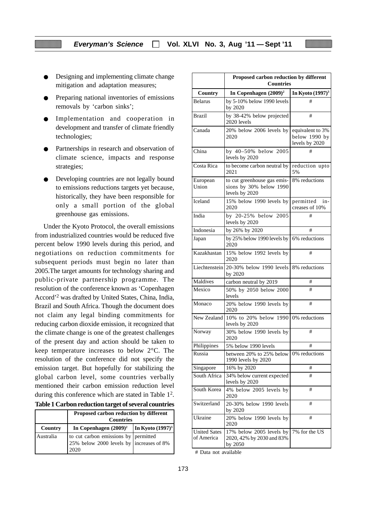- Designing and implementing climate change mitigation and adaptation measures;
- Preparing national inventories of emissions removals by 'carbon sinks';
- Implementation and cooperation in development and transfer of climate friendly technologies;
- Partnerships in research and observation of climate science, impacts and response strategies;
- Developing countries are not legally bound to emissions reductions targets yet because, historically, they have been responsible for only a small portion of the global greenhouse gas emissions.

Under the Kyoto Protocol, the overall emissions from industrialized countries would be reduced five percent below 1990 levels during this period, and negotiations on reduction commitments for subsequent periods must begin no later than 2005.The target amounts for technology sharing and public-private partnership programme. The resolution of the conference known as 'Copenhagen Accord'2 was drafted by United States, China, India, Brazil and South Africa. Though the document does not claim any legal binding commitments for reducing carbon dioxide emission, it recognized that the climate change is one of the greatest challenges of the present day and action should be taken to keep temperature increases to below 2°C. The resolution of the conference did not specify the emission target. But hopefully for stabilizing the global carbon level, some countries verbally mentioned their carbon emission reduction level during this conference which are stated in Table 12.

|  | Table 1 Carbon reduction target of several countries |  |  |  |
|--|------------------------------------------------------|--|--|--|
|--|------------------------------------------------------|--|--|--|

|           | Proposed carbon reduction by different<br><b>Countries</b>                               |  |  |
|-----------|------------------------------------------------------------------------------------------|--|--|
| Country   | In Copenhagen $(2009)^2$   In Kyoto $(1997)^3$                                           |  |  |
| Australia | to cut carbon emissions by permitted<br>25% below 2000 levels by increases of 8%<br>2020 |  |  |

|                                   | Proposed carbon reduction by different<br><b>Countries</b>               |                                                     |  |
|-----------------------------------|--------------------------------------------------------------------------|-----------------------------------------------------|--|
| Country                           | In Copenhagen $(2009)^2$                                                 | In Kyoto $(1997)^3$                                 |  |
| <b>Belarus</b>                    | by 5-10% below 1990 levels<br>by 2020                                    | #                                                   |  |
| <b>Brazil</b>                     | by 38-42% below projected<br>2020 levels                                 | #                                                   |  |
| Canada                            | 20% below 2006 levels by<br>2020                                         | equivalent to 3%<br>below 1990 by<br>levels by 2020 |  |
| China                             | by 40-50% below 2005<br>levels by 2020                                   | #                                                   |  |
| Costa Rica                        | to become carbon neutral by<br>2021                                      | reduction upto<br>5%                                |  |
| European<br>Union                 | to cut greenhouse gas emis-<br>sions by 30% below 1990<br>levels by 2020 | 8% reductions                                       |  |
| <b>Iceland</b>                    | 15% below 1990 levels by<br>2020                                         | permitted<br>in-<br>creases of 10%                  |  |
| India                             | by 20-25% below 2005<br>levels by 2020                                   | #                                                   |  |
| Indonesia                         | by 26% by 2020                                                           | #                                                   |  |
| Japan                             | by 25% below 1990 levels by<br>2020                                      | 6% reductions                                       |  |
| Kazakhastan                       | 15% below 1992 levels by<br>2020                                         | #                                                   |  |
|                                   | Liechtenstein 20-30% below 1990 levels<br>by 2020                        | 8% reductions                                       |  |
| Maldives                          | carbon neutral by 2019                                                   | #                                                   |  |
| Mexico                            | 50% by 2050 below 2000<br>levels                                         | #                                                   |  |
| Monaco                            | 20% below 1990 levels by<br>2020                                         | #                                                   |  |
| New Zealand                       | 10% to 20% below 1990<br>levels by 2020                                  | 0% reductions                                       |  |
| Norway                            | 30% below 1990 levels by<br>2020                                         | #                                                   |  |
| Philippines                       | 5% below 1990 levels                                                     | #                                                   |  |
| Russia                            | between 20% to 25% below<br>1990 levels by 2020                          | 0% reductions                                       |  |
| Singapore                         | 16% by 2020                                                              | #                                                   |  |
| South Africa                      | 34% below current expected<br>levels by 2020                             | #                                                   |  |
| South Korea                       | 4% below 2005 levels by<br>2020                                          | #                                                   |  |
| Switzerland                       | 20-30% below 1990 levels<br>by 2020                                      | #                                                   |  |
| Ukraine                           | 20% below 1990 levels by<br>2020                                         | #                                                   |  |
| <b>United Sates</b><br>of America | 17% below 2005 levels by<br>2020, 42% by 2030 and 83%<br>by 2050         | 7% for the US                                       |  |

# Data not available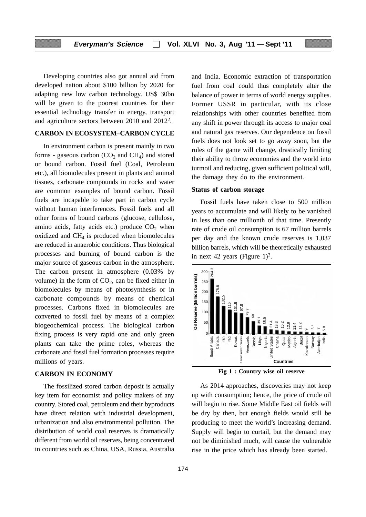Developing countries also got annual aid from developed nation about \$100 billion by 2020 for adapting new low carbon technology. US\$ 30bn will be given to the poorest countries for their essential technology transfer in energy, transport and agriculture sectors between 2010 and 20122.

#### **CARBON IN ECOSYSTEM–CARBON CYCLE**

In environment carbon is present mainly in two forms - gaseous carbon  $(CO<sub>2</sub>$  and  $CH<sub>4</sub>)$  and stored or bound carbon. Fossil fuel (Coal, Petroleum etc.), all biomolecules present in plants and animal tissues, carbonate compounds in rocks and water are common examples of bound carbon. Fossil fuels are incapable to take part in carbon cycle without human interferences. Fossil fuels and all other forms of bound carbons (glucose, cellulose, amino acids, fatty acids etc.) produce  $CO<sub>2</sub>$  when oxidized and  $CH<sub>4</sub>$  is produced when biomolecules are reduced in anaerobic conditions. Thus biological processes and burning of bound carbon is the major source of gaseous carbon in the atmosphere. The carbon present in atmosphere (0.03% by volume) in the form of  $CO<sub>2</sub>$ , can be fixed either in biomolecules by means of photosynthesis or in carbonate compounds by means of chemical processes. Carbons fixed in biomolecules are converted to fossil fuel by means of a complex biogeochemical process. The biological carbon fixing process is very rapid one and only green plants can take the prime roles, whereas the carbonate and fossil fuel formation processes require millions of years.

#### **CARBON IN ECONOMY**

The fossilized stored carbon deposit is actually key item for economist and policy makers of any country. Stored coal, petroleum and their byproducts have direct relation with industrial development, urbanization and also environmental pollution. The distribution of world coal reserves is dramatically different from world oil reserves, being concentrated in countries such as China, USA, Russia, Australia and India. Economic extraction of transportation fuel from coal could thus completely alter the balance of power in terms of world energy supplies. Former USSR in particular, with its close relationships with other countries benefited from any shift in power through its access to major coal and natural gas reserves. Our dependence on fossil fuels does not look set to go away soon, but the rules of the game will change, drastically limiting their ability to throw economies and the world into turmoil and reducing, given sufficient political will, the damage they do to the environment.

#### **Status of carbon storage**

Fossil fuels have taken close to 500 million years to accumulate and will likely to be vanished in less than one millionth of that time. Presently rate of crude oil consumption is 67 million barrels per day and the known crude reserves is 1,037 billion barrels, which will be theoretically exhausted in next 42 years (Figure  $1$ )<sup>3</sup>.



**Fig 1 : Country wise oil reserve**

As 2014 approaches, discoveries may not keep up with consumption; hence, the price of crude oil will begin to rise. Some Middle East oil fields will be dry by then, but enough fields would still be producing to meet the world's increasing demand. Supply will begin to curtail, but the demand may not be diminished much, will cause the vulnerable rise in the price which has already been started.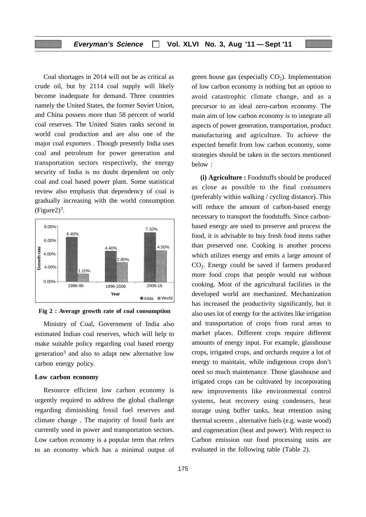Coal shortages in 2014 will not be as critical as crude oil, but by 2114 coal supply will likely become inadequate for demand. Three countries namely the United States, the former Soviet Union, and China possess more than 58 percent of world coal reserves. The United States ranks second in world coal production and are also one of the major coal exporters . Though presently India uses coal and petroleum for power generation and transportation sectors respectively, the energy security of India is no doubt dependent on only coal and coal based power plant. Some statistical review also emphasis that dependency of coal is gradually increasing with the world consumption  $(Figure2)^3$ .





Ministry of Coal, Government of India also estimated Indian coal reserves, which will help to make suitable policy regarding coal based energy generation<sup>3</sup> and also to adapt new alternative low carbon energy policy.

#### **Low carbon economy**

Resource efficient low carbon economy is urgently required to address the global challenge regarding diminishing fossil fuel reserves and climate change . The majority of fossil fuels are currently used in power and transportation sectors. Low carbon economy is a popular term that refers to an economy which has a minimal output of green house gas (especially  $CO<sub>2</sub>$ ). Implementation of low carbon economy is nothing but an option to avoid catastrophic climate change, and as a precursor to an ideal zero-carbon economy. The main aim of low carbon economy is to integrate all aspects of power generation, transportation, product manufacturing and agriculture. To achieve the expected benefit from low carbon economy, some strategies should be taken in the sectors mentioned below :

**(i) Agriculture :** Foodstuffs should be produced as close as possible to the final consumers (preferably within walking / cycling distance). This will reduce the amount of carbon-based energy necessary to transport the foodstuffs. Since carbonbased energy are used to preserve and process the food, it is advisable to buy fresh food items rather than preserved one. Cooking is another process which utilizes energy and emits a large amount of  $CO<sub>2</sub>$ . Energy could be saved if farmers produced more food crops that people would eat without cooking. Most of the agricultural facilities in the developed world are mechanized. Mechanization has increased the productivity significantly, but it also uses lot of energy for the activites like irrigation and transportation of crops from rural areas to market places. Different crops require different amounts of energy input. For example, glasshouse crops, irrigated crops, and orchards require a lot of energy to maintain, while indigenous crops don't need so much maintenance. Those glasshouse and irrigated crops can be cultivated by incorporating new improvements like environmental control systems, heat recovery using condensers, heat storage using buffer tanks, heat retention using thermal screens , alternative fuels (e.g. waste wood) and cogeneration (heat and power). With respect to Carbon emission our food processing units are evaluated in the following table (Table 2).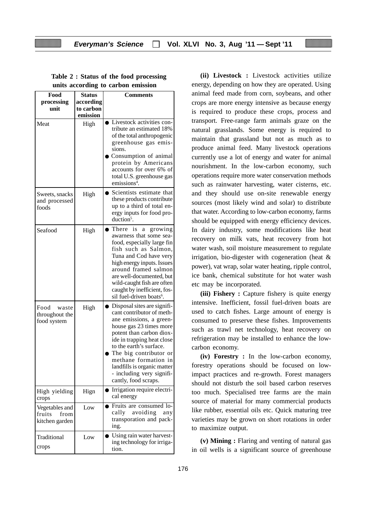| Food<br>processing<br>unit                         | <b>Status</b><br>according<br>to carbon | <b>Comments</b>                                                                                                                                                                                                                                                                                                                           |
|----------------------------------------------------|-----------------------------------------|-------------------------------------------------------------------------------------------------------------------------------------------------------------------------------------------------------------------------------------------------------------------------------------------------------------------------------------------|
| Meat                                               | emission<br>High                        | Livestock activities con-<br>$\bullet$<br>tribute an estimated 18%<br>of the total anthropogenic<br>greenhouse gas emis-<br>sions.<br>Consumption of animal<br>protein by Americans<br>accounts for over 6% of<br>total U.S. greenhouse gas<br>emissions <sup>4</sup> .                                                                   |
| Sweets, snacks<br>and processed<br>foods           | High                                    | Scientists estimate that<br>these products contribute<br>up to a third of total en-<br>ergy inputs for food pro-<br>duction <sup>5</sup> .                                                                                                                                                                                                |
| Seafood                                            | High                                    | There<br>is.<br>growing<br>a<br>awarness that some sea-<br>food, especially large fin<br>fish such as Salmon,<br>Tuna and Cod have very<br>high energy inputs. Issues<br>around framed salmon<br>are well-documented, but<br>wild-caught fish are often<br>caught by inefficient, fos-<br>sil fuel-driven boats <sup>6</sup> .            |
| Food<br>waste<br>throughout the<br>food system     | High                                    | Disposal sites are signifi-<br>cant contributor of meth-<br>ane emissions, a green-<br>house gas 23 times more<br>potent than carbon diox-<br>ide in trapping heat close<br>to the earth's surface.<br>The big contributor or<br>methane formation in<br>landfills is organic matter<br>- including very signifi-<br>cantly, food scraps. |
| High yielding<br>crops                             | Hign                                    | Irrigation require electri-<br>cal energy                                                                                                                                                                                                                                                                                                 |
| Vegetables and<br>fruits<br>from<br>kitchen garden | Low                                     | Fruits are consumed lo-<br>cally<br>avoiding<br>any<br>transporation and pack-<br>ing.                                                                                                                                                                                                                                                    |
| Traditional<br>crops                               | Low                                     | Using rain water harvest-<br>ing technology for irriga-<br>tion.                                                                                                                                                                                                                                                                          |

**Table 2 : Status of the food processing units according to carbon emission**

**(ii) Livestock :** Livestock activities utilize energy, depending on how they are operated. Using animal feed made from corn, soybeans, and other crops are more energy intensive as because energy is required to produce these crops, process and transport. Free-range farm animals graze on the natural grasslands. Some energy is required to maintain that grassland but not as much as to produce animal feed. Many livestock operations currently use a lot of energy and water for animal nourishment. In the low-carbon economy, such operations require more water conservation methods such as rainwater harvesting, water cisterns, etc. and they should use on-site renewable energy sources (most likely wind and solar) to distribute that water. According to low-carbon economy, farms should be equipped with energy efficiency devices. In dairy industry, some modifications like heat recovery on milk vats, heat recovery from hot water wash, soil moisture measurement to regulate irrigation, bio-digester with cogeneration (heat & power), vat wrap, solar water heating, ripple control, ice bank, chemical substitute for hot water wash etc may be incorporated.

**(iii) Fishery :** Capture fishery is quite energy intensive. Inefficient, fossil fuel-driven boats are used to catch fishes. Large amount of energy is consumed to preserve these fishes. Improvements such as trawl net technology, heat recovery on refrigeration may be installed to enhance the lowcarbon economy.

**(iv) Forestry :** In the low-carbon economy, forestry operations should be focused on lowimpact practices and re-growth. Forest managers should not disturb the soil based carbon reserves too much. Specialised tree farms are the main source of material for many commercial products like rubber, essential oils etc. Quick maturing tree varieties may be grown on short rotations in order to maximize output.

**(v) Mining :** Flaring and venting of natural gas in oil wells is a significant source of greenhouse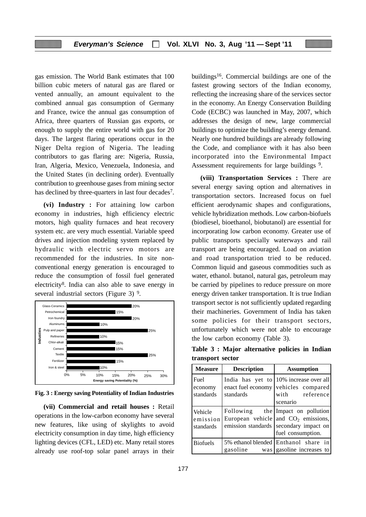gas emission. The World Bank estimates that 100 billion cubic meters of natural gas are flared or vented annually, an amount equivalent to the combined annual gas consumption of Germany and France, twice the annual gas consumption of Africa, three quarters of Russian gas exports, or enough to supply the entire world with gas for 20 days. The largest flaring operations occur in the Niger Delta region of Nigeria. The leading contributors to gas flaring are: Nigeria, Russia, Iran, Algeria, Mexico, Venezuela, Indonesia, and the United States (in declining order). Eventually contribution to greenhouse gases from mining sector has declined by three-quarters in last four decades<sup>7</sup>.

**(vi) Industry :** For attaining low carbon economy in industries, high efficiency electric motors, high quality furnaces and heat recovery system etc. are very much essential. Variable speed drives and injection modeling system replaced by hydraulic with electric servo motors are recommended for the industries. In site nonconventional energy generation is encouraged to reduce the consumption of fossil fuel generated electricity8. India can also able to save energy in several industrial sectors (Figure 3) 9.



**Fig. 3 : Energy saving Potentiality of Indian Industries**

**(vii) Commercial and retail houses :** Retail operations in the low-carbon economy have several new features, like using of skylights to avoid electricity consumption in day time, high efficiency lighting devices (CFL, LED) etc. Many retail stores already use roof-top solar panel arrays in their buildings16. Commercial buildings are one of the fastest growing sectors of the Indian economy, reflecting the increasing share of the services sector in the economy. An Energy Conservation Building Code (ECBC) was launched in May, 2007, which addresses the design of new, large commercial buildings to optimize the building's energy demand. Nearly one hundred buildings are already following the Code, and compliance with it has also been incorporated into the Environmental Impact Assessment requirements for large buildings <sup>9</sup>.

**(viii) Transportation Services :** There are several energy saving option and alternatives in transportation sectors. Increased focus on fuel efficient aerodynamic shapes and configurations, vehicle hybridization methods. Low carbon-biofuels (biodiesel, bioethanol, biobutanol) are essential for incorporating low carbon economy. Greater use of public transports specially waterways and rail transport are being encouraged. Load on aviation and road transportation tried to be reduced. Common liquid and gaseous commodities such as water, ethanol. butanol, natural gas, petroleum may be carried by pipelines to reduce pressure on more energy driven tanker transportation. It is true Indian transport sector is not sufficiently updated regarding their machineries. Government of India has taken some policies for their transport sectors, unfortunately which were not able to encourage the low carbon economy (Table 3).

**Table 3 : Major alternative policies in Indian transport sector**

| <b>Measure</b>                   | <b>Description</b> | <b>Assumption</b>                                                                                                                         |
|----------------------------------|--------------------|-------------------------------------------------------------------------------------------------------------------------------------------|
| Fuel<br>economy<br>standards     | standards          | India has yet to $10\%$ increase over all<br>enact fuel economy vehicles compared<br>with reference<br>scenario                           |
| Vehicle<br>emission<br>standards |                    | Following the Impact on pollution<br>European vehicle and $CO2$ emissions,<br>emission standards secondary impact on<br>fuel consumption. |
| <b>Biofuels</b>                  | gasoline           | 5% ethanol blended Enthanol share in<br>was gasoline increases to                                                                         |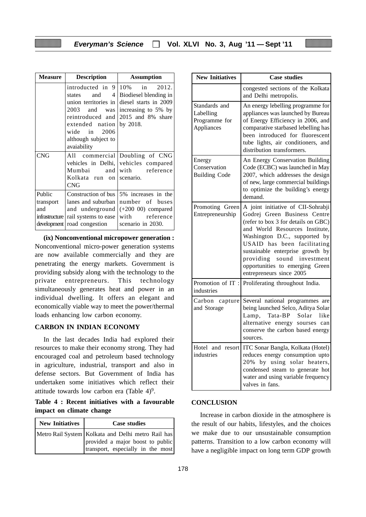| <b>Measure</b>                               | <b>Description</b>                                                                                                                                                                                | <b>Assumption</b>                                                                                                                                       |
|----------------------------------------------|---------------------------------------------------------------------------------------------------------------------------------------------------------------------------------------------------|---------------------------------------------------------------------------------------------------------------------------------------------------------|
|                                              | introducted in<br>4 I<br>and<br>states<br>union territories in<br>2003<br>and<br>was<br>reintroduced and<br>extended nation $ $ by 2018.<br>2006<br>wide in<br>although subject to<br>avaiability | $9 10\%$<br>2012.<br>in<br>Biodiesel blending in<br>diesel starts in 2009<br>increasing to 5% by<br>2015 and 8% share                                   |
| CNG                                          | Mumbai<br>Kolkata run on scenario.<br><b>CNG</b>                                                                                                                                                  | All commercial Doubling of CNG<br>vehicles in Delhi, vehicles compared<br>and with reference                                                            |
| Public<br>transport<br>and<br>infrastructure | and underground<br>rail systems to ease<br>development   road congestion                                                                                                                          | Construction of bus 15% increases in the<br>lanes and suburban   number of buses<br>$\vert (+200 \ 00)$ compared<br>with reference<br>scenario in 2030. |

**(ix) Nonconventional micropower generation :** Nonconventional micro-power generation systems are now available commercially and they are penetrating the energy markets. Government is providing subsidy along with the technology to the private entrepreneurs. This technology simultaneously generates heat and power in an individual dwelling. It offers an elegant and economically viable way to meet the power/thermal loads enhancing low carbon economy.

#### **CARBON IN INDIAN ECONOMY**

In the last decades India had explored their resources to make their economy strong. They had encouraged coal and petroleum based technology in agriculture, industrial, transport and also in defense sectors. But Government of India has undertaken some initiatives which reflect their attitude towards low carbon era (Table  $4$ )<sup>9</sup>.

**Table 4 : Recent initiatives with a favourable impact on climate change**

| New Initiatives | <b>Case studies</b>                                                                                                         |
|-----------------|-----------------------------------------------------------------------------------------------------------------------------|
|                 | Metro Rail System Kolkata and Delhi metro Rail has<br>provided a major boost to public<br>transport, especially in the most |

| <b>New Initiatives</b>                                    | <b>Case studies</b>                                                                                                                                                                                                                                                                                                                             |
|-----------------------------------------------------------|-------------------------------------------------------------------------------------------------------------------------------------------------------------------------------------------------------------------------------------------------------------------------------------------------------------------------------------------------|
|                                                           | congested sections of the Kolkata<br>and Delhi metropolis.                                                                                                                                                                                                                                                                                      |
| Standards and<br>Labelling<br>Programme for<br>Appliances | An energy lebelling programme for<br>appliances was launched by Bureau<br>of Energy Efficiency in 2006, and<br>comparative starbased lebelling has<br>been introduced for fluorescent<br>tube lights, air conditioners, and<br>distribution transformers.                                                                                       |
| Energy<br>Conservation<br><b>Building Code</b>            | An Energy Conservation Building<br>Code (ECBC) was launched in May<br>2007, which addresses the design<br>of new, large commercial buildings<br>to optimize the building's energy<br>demand.                                                                                                                                                    |
| Promoting Green<br>Entrepreneurship                       | A joint initiative of CII-Sohrabji<br>Godrej Green Business Centre<br>(refer to box 3 for details on GBC)<br>and World Resources Institute,<br>Washington D.C., supported by<br>USAID has been facilitating<br>sustainable enterprise growth by<br>sound investment<br>providing<br>opportunities to emerging Green<br>entrepreneurs since 2005 |
| Promotion of IT:<br>industries                            | Proliferating throughout India.                                                                                                                                                                                                                                                                                                                 |
| Carbon capture<br>and Storage                             | Several national programmes are<br>being launched Selco, Aditya Solar<br>Tata-BP Solar<br>Lamp,<br>like<br>alternative energy sourses can<br>conserve the carbon based energy<br>sources.                                                                                                                                                       |
| Hotel and resort<br>industries                            | ITC Sonar Bangla, Kolkata (Hotel)<br>reduces energy consumption upto<br>20% by using solar heaters,<br>condensed steam to generate hot<br>water and using variable frequency<br>valves in fans.                                                                                                                                                 |

#### **CONCLUSION**

Increase in carbon dioxide in the atmosphere is the result of our habits, lifestyles, and the choices we make due to our unsustainable consumption patterns. Transition to a low carbon economy will have a negligible impact on long term GDP growth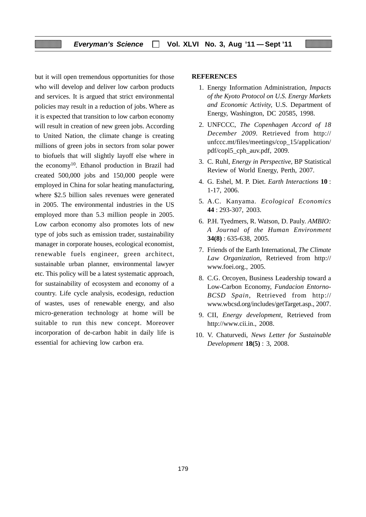but it will open tremendous opportunities for those who will develop and deliver low carbon products and services. It is argued that strict environmental policies may result in a reduction of jobs. Where as it is expected that transition to low carbon economy will result in creation of new green jobs. According to United Nation, the climate change is creating millions of green jobs in sectors from solar power to biofuels that will slightly layoff else where in the economy10. Ethanol production in Brazil had created 500,000 jobs and 150,000 people were employed in China for solar heating manufacturing, where \$2.5 billion sales revenues were generated in 2005. The environmental industries in the US employed more than 5.3 million people in 2005. Low carbon economy also promotes lots of new type of jobs such as emission trader, sustainability manager in corporate houses, ecological economist, renewable fuels engineer, green architect, sustainable urban planner, environmental lawyer etc. This policy will be a latest systematic approach, for sustainability of ecosystem and economy of a country. Life cycle analysis, ecodesign, reduction of wastes, uses of renewable energy, and also micro-generation technology at home will be suitable to run this new concept. Moreover incorporation of de-carbon habit in daily life is essential for achieving low carbon era.

#### **REFERENCES**

- 1. Energy Information Administration, *Impacts of the Kyoto Protocol on U.S. Energy Markets and Economic Activity,* U.S. Department of Energy, Washington, DC 20585, 1998.
- 2. UNFCCC, *The Copenhagen Accord of 18 December 2009.* Retrieved from http:// unfccc.mt/files/meetings/cop\_15/application/ pdf/copl5\_cph\_auv.pdf, 2009.
- 3. C. Ruhl, *Energy in Perspective,* BP Statistical Review of World Energy, Perth, 2007.
- 4. G. Eshel, M. P. Diet. *Earth Interactions* **10** : 1-17, 2006.
- 5. A.C. Kanyama. *Ecological Economics* **44** : 293-307, 2003.
- 6. P.H. Tyedmers, R. Watson, D. Pauly. *AMBIO: A Journal of the Human Environment* **34(8)** : 635-638, 2005.
- 7. Friends of the Earth International, *The Climate Law Organization,* Retrieved from http:// www.foei.org., 2005.
- 8. C.G. Orcoyen, Business Leadership toward a Low-Carbon Economy, *Fundacion Entorno-BCSD Spain,* Retrieved from http:// www.wbcsd.org/includes/getTarget.asp., 2007.
- 9. CII, *Energy development,* Retrieved from http://www.cii.in., 2008.
- 10. V. Chaturvedi, *News Letter for Sustainable Development* **18(5)** : 3, 2008.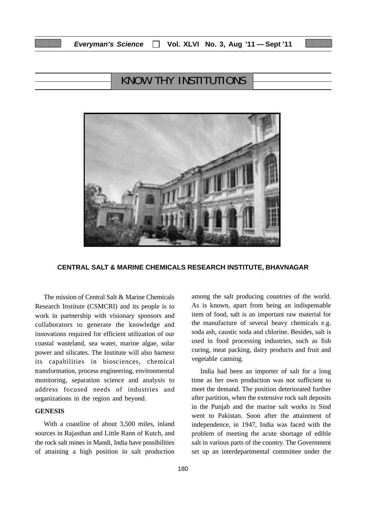# KNOW THY INSTITUTIONS



#### **CENTRAL SALT & MARINE CHEMICALS RESEARCH INSTITUTE, BHAVNAGAR**

The mission of Central Salt & Marine Chemicals Research Institute (CSMCRI) and its people is to work in partnership with visionary sponsors and collaborators to generate the knowledge and innovations required for efficient utilization of our coastal wasteland, sea water, marine algae, solar power and silicates. The Institute will also harness its capabilities in biosciences, chemical transformation, process engineering, environmental monitoring, separation science and analysis to address focused needs of industries and organizations in the region and beyond.

#### **GENESIS**

With a coastline of about 3,500 miles, inland sources in Rajasthan and Little Rann of Kutch, and the rock salt mines in Mandi, India have possibilities of attaining a high position in salt production among the salt producing countries of the world. As is known, apart from being an indispensable item of food, salt is an important raw material for the manufacture of several heavy chemicals e.g. soda ash, caustic soda and chlorine. Besides, salt is used in food processing industries, such as fish curing, meat packing, dairy products and fruit and vegetable canning.

India had been an importer of salt for a long time as her own production was not sufficient to meet the demand. The position deteriorated further after partition, when the extensive rock salt deposits in the Punjab and the marine salt works in Sind went to Pakistan. Soon after the attainment of independence, in 1947, India was faced with the problem of meeting the acute shortage of edible salt in various parts of the country. The Government set up an interdepartmental committee under the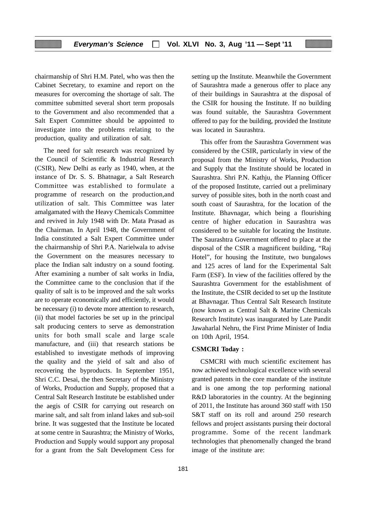chairmanship of Shri H.M. Patel, who was then the Cabinet Secretary, to examine and report on the measures for overcoming the shortage of salt. The committee submitted several short term proposals to the Government and also recommended that a Salt Expert Committee should be appointed to investigate into the problems relating to the production, quality and utilization of salt.

The need for salt research was recognized by the Council of Scientific & Industrial Research (CSIR), New Delhi as early as 1940, when, at the instance of Dr. S. S. Bhatnagar, a Salt Research Committee was established to formulate a programme of research on the production,and utilization of salt. This Committee was later amalgamated with the Heavy Chemicals Committee and revived in July 1948 with Dr. Mata Prasad as the Chairman. In April 1948, the Government of India constituted a Salt Expert Committee under the chairmanship of Shri P.A. Narielwala to advise the Government on the measures necessary to place the Indian salt industry on a sound footing. After examining a number of salt works in India, the Committee came to the conclusion that if the quality of salt is to be improved and the salt works are to operate economically and efficiently, it would be necessary (i) to devote more attention to research, (ii) that model factories be set up in the principal salt producing centers to serve as demonstration units for both small scale and large scale manufacture, and (iii) that research stations be established to investigate methods of improving the quality and the yield of salt and also of recovering the byproducts. In September 1951, Shri C.C. Desai, the then Secretary of the Ministry of Works, Production and Supply, proposed that a Central Salt Research Institute be established under the aegis of CSIR for carrying out research on marine salt, and salt from inland lakes and sub-soil brine. It was suggested that the Institute be located at some centre in Saurashtra; the Ministry of Works, Production and Supply would support any proposal for a grant from the Salt Development Cess for

setting up the Institute. Meanwhile the Government of Saurashtra made a generous offer to place any of their buildings in Saurashtra at the disposal of the CSIR for housing the Institute. If no building was found suitable, the Saurashtra Government offered to pay for the building, provided the Institute was located in Saurashtra.

This offer from the Saurashtra Government was considered by the CSIR, particularly in view of the proposal from the Ministry of Works, Production and Supply that the Institute should be located in Saurashtra. Shri P.N. Kathju, the Planning Officer of the proposed Institute, carried out a preliminary survey of possible sites, both in the north coast and south coast of Saurashtra, for the location of the Institute. Bhavnagar, which being a flourishing centre of higher education in Saurashtra was considered to be suitable for locating the Institute. The Saurashtra Government offered to place at the disposal of the CSIR a magnificent building, "Raj Hotel", for housing the Institute, two bungalows and 125 acres of land for the Experimental Salt Farm (ESF). In view of the facilities offered by the Saurashtra Government for the establishment of the Institute, the CSIR decided to set up the Institute at Bhavnagar. Thus Central Salt Research Institute (now known as Central Salt & Marine Chemicals Research Institute) was inaugurated by Late Pandit Jawaharlal Nehru, the First Prime Minister of India on 10th April, 1954.

#### **CSMCRI Today :**

CSMCRI with much scientific excitement has now achieved technological excellence with several granted patents in the core mandate of the institute and is one among the top performing national R&D laboratories in the country. At the beginning of 2011, the Institute has around 360 staff with 150 S&T staff on its roll and around 250 research fellows and project assistants pursing their doctoral programme. Some of the recent landmark technologies that phenomenally changed the brand image of the institute are: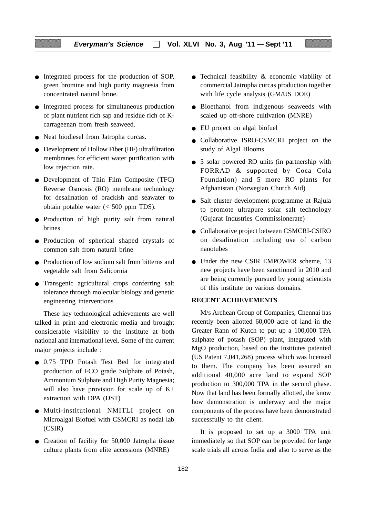- Integrated process for the production of SOP, green bromine and high purity magnesia from concentrated natural brine.
- Integrated process for simultaneous production of plant nutrient rich sap and residue rich of Kcarrageenan from fresh seaweed.
- Neat biodiesel from Jatropha curcas.
- Development of Hollow Fiber (HF) ultrafiltration membranes for efficient water purification with low rejection rate.
- Development of Thin Film Composite (TFC) Reverse Osmosis (RO) membrane technology for desalination of brackish and seawater to obtain potable water (< 500 ppm TDS).
- Production of high purity salt from natural brines
- Production of spherical shaped crystals of common salt from natural brine
- Production of low sodium salt from bitterns and vegetable salt from Salicornia
- Transgenic agricultural crops conferring salt tolerance through molecular biology and genetic engineering interventions

These key technological achievements are well talked in print and electronic media and brought considerable visibility to the institute at both national and international level. Some of the current major projects include :

- 0.75 TPD Potash Test Bed for integrated production of FCO grade Sulphate of Potash, Ammonium Sulphate and High Purity Magnesia; will also have provision for scale up of  $K<sup>+</sup>$ extraction with DPA (DST)
- Multi-institutional NMITLI project on Microalgal Biofuel with CSMCRI as nodal lab (CSIR)
- Creation of facility for 50,000 Jatropha tissue culture plants from elite accessions (MNRE)
- Technical feasibility & economic viability of commercial Jatropha curcas production together with life cycle analysis (GM/US DOE)
- Bioethanol from indigenous seaweeds with scaled up off-shore cultivation (MNRE)
- EU project on algal biofuel
- Collaborative ISRO-CSMCRI project on the study of Algal Blooms
- 5 solar powered RO units (in partnership with FORRAD & supported by Coca Cola Foundation) and 5 more RO plants for Afghanistan (Norwegian Church Aid)
- Salt cluster development programme at Rajula to promote ultrapure solar salt technology (Gujarat Industries Commissionerate)
- Collaborative project between CSMCRI-CSIRO on desalination including use of carbon nanotubes
- Under the new CSIR EMPOWER scheme, 13 new projects have been sanctioned in 2010 and are being currently pursued by young scientists of this institute on various domains.

#### **RECENT ACHIEVEMENTS**

M/s Archean Group of Companies, Chennai has recently been allotted 60,000 acre of land in the Greater Rann of Kutch to put up a 100,000 TPA sulphate of potash (SOP) plant, integrated with MgO production, based on the Institutes patented (US Patent 7,041,268) process which was licensed to them. The company has been assured an additional 40,000 acre land to expand SOP production to 300,000 TPA in the second phase. Now that land has been formally allotted, the know how demonstration is underway and the major components of the process have been demonstrated successfully to the client.

It is proposed to set up a 3000 TPA unit immediately so that SOP can be provided for large scale trials all across India and also to serve as the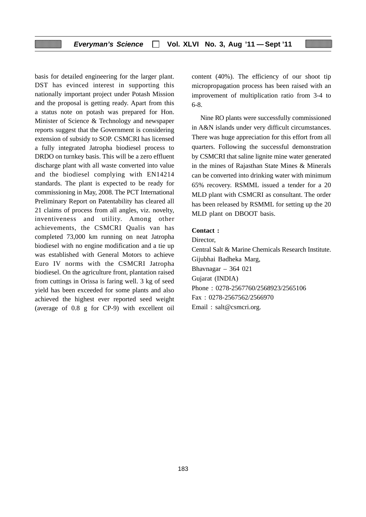basis for detailed engineering for the larger plant. DST has evinced interest in supporting this nationally important project under Potash Mission and the proposal is getting ready. Apart from this a status note on potash was prepared for Hon. Minister of Science & Technology and newspaper reports suggest that the Government is considering extension of subsidy to SOP. CSMCRI has licensed a fully integrated Jatropha biodiesel process to DRDO on turnkey basis. This will be a zero effluent discharge plant with all waste converted into value and the biodiesel complying with EN14214 standards. The plant is expected to be ready for commissioning in May, 2008. The PCT International Preliminary Report on Patentability has cleared all 21 claims of process from all angles, viz. novelty, inventiveness and utility. Among other achievements, the CSMCRI Qualis van has completed 73,000 km running on neat Jatropha biodiesel with no engine modification and a tie up was established with General Motors to achieve Euro IV norms with the CSMCRI Jatropha biodiesel. On the agriculture front, plantation raised from cuttings in Orissa is faring well. 3 kg of seed yield has been exceeded for some plants and also achieved the highest ever reported seed weight (average of 0.8 g for CP-9) with excellent oil

content (40%). The efficiency of our shoot tip micropropagation process has been raised with an improvement of multiplication ratio from 3-4 to 6-8.

Nine RO plants were successfully commissioned in A&N islands under very difficult circumstances. There was huge appreciation for this effort from all quarters. Following the successful demonstration by CSMCRI that saline lignite mine water generated in the mines of Rajasthan State Mines & Minerals can be converted into drinking water with minimum 65% recovery. RSMML issued a tender for a 20 MLD plant with CSMCRI as consultant. The order has been released by RSMML for setting up the 20 MLD plant on DBOOT basis.

#### **Contact :**

Director,

Central Salt & Marine Chemicals Research Institute. Gijubhai Badheka Marg, Bhavnagar – 364 021 Gujarat (INDIA) Phone : 0278-2567760/2568923/2565106 Fax : 0278-2567562/2566970 Email : salt@csmcri.org.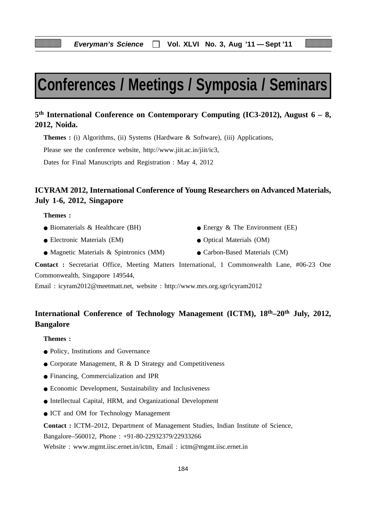# **Conferences / Meetings / Symposia / Seminars**

# **5th International Conference on Contemporary Computing (IC3-2012), August 6 – 8, 2012, Noida.**

**Themes :** (i) Algorithms, (ii) Systems (Hardware & Software), (iii) Applications,

Please see the conference website, http://www.jiit.ac.in/jiit/ic3,

Dates for Final Manuscripts and Registration : May 4, 2012

# **ICYRAM 2012, International Conference of Young Researchers on Advanced Materials, July 1-6, 2012, Singapore**

**Themes :**

- 
- Electronic Materials (EM) Optical Materials (OM)
- Biomaterials & Healthcare (BH) Energy & The Environment (EE)
	-
- Magnetic Materials & Spintronics (MM) Carbon-Based Materials (CM)
	-

**Contact :** Secretariat Office, Meeting Matters International, 1 Commonwealth Lane, #06-23 One Commonwealth, Singapore 149544,

Email : icyram2012@meetmatt.net, website : http://www.mrs.org.sgr/icyram2012

# **International Conference of Technology Management (ICTM), 18th–20th July, 2012, Bangalore**

#### **Themes :**

- Policy, Institutions and Governance
- Corporate Management, R & D Strategy and Competitiveness
- Financing, Commercialization and IPR
- Economic Development, Sustainability and Inclusiveness
- Intellectual Capital, HRM, and Organizational Development
- ICT and OM for Technology Management

**Contact :** ICTM–2012, Department of Management Studies, Indian Institute of Science,

Bangalore–560012, Phone : +91-80-22932379/22933266

Website : www.mgmt.iisc.ernet.in/ictm, Email : ictm@mgmt.iisc.ernet.in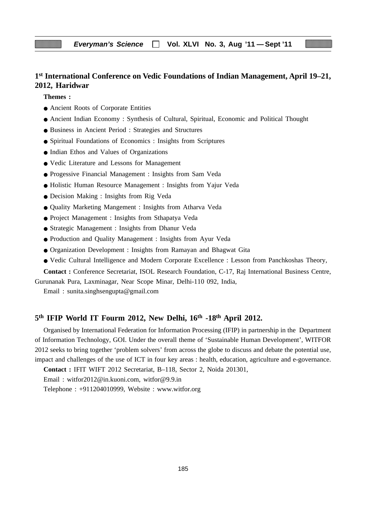# **1st International Conference on Vedic Foundations of Indian Management, April 19–21, 2012, Haridwar**

**Themes :**

- Ancient Roots of Corporate Entities
- Ancient Indian Economy : Synthesis of Cultural, Spiritual, Economic and Political Thought
- Business in Ancient Period : Strategies and Structures
- Spiritual Foundations of Economics : Insights from Scriptures
- Indian Ethos and Values of Organizations
- Vedic Literature and Lessons for Management
- Progessive Financial Management : Insights from Sam Veda
- Holistic Human Resource Management : Insights from Yajur Veda
- Decision Making : Insights from Rig Veda
- Quality Marketing Mangement : Insights from Atharva Veda
- Project Management : Insights from Sthapatya Veda
- Strategic Management : Insights from Dhanur Veda
- Production and Quality Management : Insights from Ayur Veda
- Organization Development : Insights from Ramayan and Bhagwat Gita
- Vedic Cultural Intelligence and Modern Corporate Excellence : Lesson from Panchkoshas Theory,

**Contact :** Conference Secretariat, ISOL Research Foundation, C-17, Raj International Business Centre, Gurunanak Pura, Laxminagar, Near Scope Minar, Delhi-110 092, India,

Email : sunita.singhsengupta@gmail.com

# **5th IFIP World IT Fourm 2012, New Delhi, 16th -18th April 2012.**

Organised by International Federation for Information Processing (IFIP) in partnership in the Department of Information Technology, GOI. Under the overall theme of 'Sustainable Human Development', WITFOR 2012 seeks to bring together 'problem solvers' from across the globe to discuss and debate the potential use, impact and challenges of the use of ICT in four key areas : health, education, agriculture and e-governance.

**Contact :** IFIT WIFT 2012 Secretariat, B–118, Sector 2, Noida 201301,

Email : witfor2012@in.kuoni.com, witfor@9.9.in

Telephone : +911204010999, Website : www.witfor.org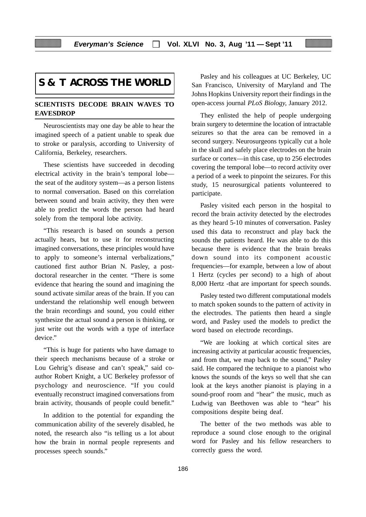# **S & T ACROSS THE WORLD**

#### **SCIENTISTS DECODE BRAIN WAVES TO EAVESDROP**

Neuroscientists may one day be able to hear the imagined speech of a patient unable to speak due to stroke or paralysis, according to University of California, Berkeley, researchers.

These scientists have succeeded in decoding electrical activity in the brain's temporal lobe the seat of the auditory system—as a person listens to normal conversation. Based on this correlation between sound and brain activity, they then were able to predict the words the person had heard solely from the temporal lobe activity.

"This research is based on sounds a person actually hears, but to use it for reconstructing imagined conversations, these principles would have to apply to someone's internal verbalizations," cautioned first author Brian N. Pasley, a postdoctoral researcher in the center. "There is some evidence that hearing the sound and imagining the sound activate similar areas of the brain. If you can understand the relationship well enough between the brain recordings and sound, you could either synthesize the actual sound a person is thinking, or just write out the words with a type of interface device."

"This is huge for patients who have damage to their speech mechanisms because of a stroke or Lou Gehrig's disease and can't speak," said coauthor Robert Knight, a UC Berkeley professor of psychology and neuroscience. "If you could eventually reconstruct imagined conversations from brain activity, thousands of people could benefit."

In addition to the potential for expanding the communication ability of the severely disabled, he noted, the research also "is telling us a lot about how the brain in normal people represents and processes speech sounds."

Pasley and his colleagues at UC Berkeley, UC San Francisco, University of Maryland and The Johns Hopkins University report their findings in the open-access journal *PLoS Biology,* January 2012.

They enlisted the help of people undergoing brain surgery to determine the location of intractable seizures so that the area can be removed in a second surgery. Neurosurgeons typically cut a hole in the skull and safely place electrodes on the brain surface or cortex—in this case, up to 256 electrodes covering the temporal lobe—to record activity over a period of a week to pinpoint the seizures. For this study, 15 neurosurgical patients volunteered to participate.

Pasley visited each person in the hospital to record the brain activity detected by the electrodes as they heard 5-10 minutes of conversation. Pasley used this data to reconstruct and play back the sounds the patients heard. He was able to do this because there is evidence that the brain breaks down sound into its component acoustic frequencies—for example, between a low of about 1 Hertz (cycles per second) to a high of about 8,000 Hertz -that are important for speech sounds.

Pasley tested two different computational models to match spoken sounds to the pattern of activity in the electrodes. The patients then heard a single word, and Pasley used the models to predict the word based on electrode recordings.

"We are looking at which cortical sites are increasing activity at particular acoustic frequencies, and from that, we map back to the sound," Pasley said. He compared the technique to a pianoist who knows the sounds of the keys so well that she can look at the keys another pianoist is playing in a sound-proof room and "hear" the music, much as Ludwig van Beethoven was able to "hear" his compositions despite being deaf.

The better of the two methods was able to reproduce a sound close enough to the original word for Pasley and his fellow researchers to correctly guess the word.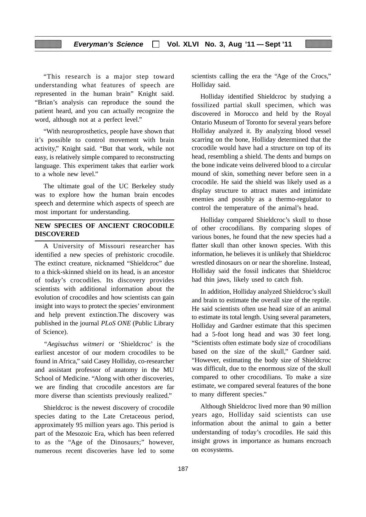"This research is a major step toward understanding what features of speech are represented in the human brain" Knight said. "Brian's analysis can reproduce the sound the patient heard, and you can actually recognize the word, although not at a perfect level."

"With neuroprosthetics, people have shown that it's possible to control movement with brain activity," Knight said. "But that work, while not easy, is relatively simple compared to reconstructing language. This experiment takes that earlier work to a whole new level."

The ultimate goal of the UC Berkeley study was to explore how the human brain encodes speech and determine which aspects of speech are most important for understanding.

#### **NEW SPECIES OF ANCIENT CROCODILE DISCOVERED**

A University of Missouri researcher has identified a new species of prehistoric crocodile. The extinct creature, nicknamed "Shieldcroc" due to a thick-skinned shield on its head, is an ancestor of today's crocodiles. Its discovery provides scientists with additional information about the evolution of crocodiles and how scientists can gain insight into ways to protect the species' environment and help prevent extinction.The discovery was published in the journal *PLoS ONE* (Public Library of Science).

*"Aegisuchus witmeri* or 'Shieldcroc' is the earliest ancestor of our modern crocodiles to be found in Africa," said Casey Holliday, co-researcher and assistant professor of anatomy in the MU School of Medicine. "Along with other discoveries, we are finding that crocodile ancestors are far more diverse than scientists previously realized."

Shieldcroc is the newest discovery of crocodile species dating to the Late Cretaceous period, approximately 95 million years ago. This period is part of the Mesozoic Era, which has been referred to as the "Age of the Dinosaurs;" however, numerous recent discoveries have led to some scientists calling the era the "Age of the Crocs," Holliday said.

Holliday identified Shieldcroc by studying a fossilized partial skull specimen, which was discovered in Morocco and held by the Royal Ontario Museum of Toronto for several years before Holliday analyzed it. By analyzing blood vessel scarring on the bone, Holliday determined that the crocodile would have had a structure on top of its head, resembling a shield. The dents and bumps on the bone indicate veins delivered blood to a circular mound of skin, something never before seen in a crocodile. He said the shield was likely used as a display structure to attract mates and intimidate enemies and possibly as a thermo-regulator to control the temperature of the animal's head.

Holliday compared Shieldcroc's skull to those of other crocodilians. By comparing slopes of various bones, he found that the new species had a flatter skull than other known species. With this information, he believes it is unlikely that Shieldcroc wrestled dinosaurs on or near the shoreline. Instead, Holliday said the fossil indicates that Shieldcroc had thin jaws, likely used to catch fish.

In addition, Holliday analyzed Shieldcroc's skull and brain to estimate the overall size of the reptile. He said scientists often use head size of an animal to estimate its total length. Using several parameters, Holliday and Gardner estimate that this specimen had a 5-foot long head and was 30 feet long. "Scientists often estimate body size of crocodilians based on the size of the skull," Gardner said. "However, estimating the body size of Shieldcroc was difficult, due to the enormous size of the skull compared to other crocodilians. To make a size estimate, we compared several features of the bone to many different species."

Although Shieldcroc lived more than 90 million years ago, Holliday said scientists can use information about the animal to gain a better understanding of today's crocodiles. He said this insight grows in importance as humans encroach on ecosystems.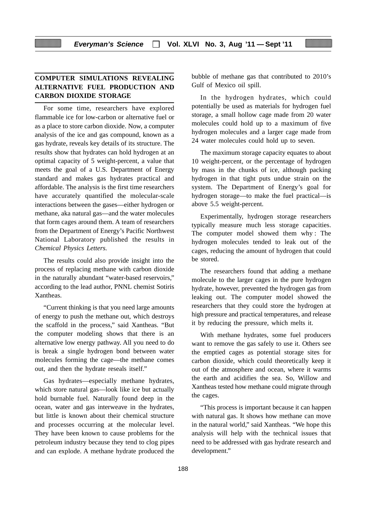## **COMPUTER SIMULATIONS REVEALING ALTERNATIVE FUEL PRODUCTION AND CARBON DIOXIDE STORAGE**

For some time, researchers have explored flammable ice for low-carbon or alternative fuel or as a place to store carbon dioxide. Now, a computer analysis of the ice and gas compound, known as a gas hydrate, reveals key details of its structure. The results show that hydrates can hold hydrogen at an optimal capacity of 5 weight-percent, a value that meets the goal of a U.S. Department of Energy standard and makes gas hydrates practical and affordable. The analysis is the first time researchers have accurately quantified the molecular-scale interactions between the gases—either hydrogen or methane, aka natural gas—and the water molecules that form cages around them. A team of researchers from the Department of Energy's Pacific Northwest National Laboratory published the results in *Chemical Physics Letters.*

The results could also provide insight into the process of replacing methane with carbon dioxide in the naturally abundant "water-based reservoirs," according to the lead author, PNNL chemist Sotiris Xantheas.

"Current thinking is that you need large amounts of energy to push the methane out, which destroys the scaffold in the process," said Xantheas. "But the computer modeling shows that there is an alternative low energy pathway. All you need to do is break a single hydrogen bond between water molecules forming the cage—the methane comes out, and then the hydrate reseals itself."

Gas hydrates—especially methane hydrates, which store natural gas—look like ice but actually hold burnable fuel. Naturally found deep in the ocean, water and gas interweave in the hydrates, but little is known about their chemical structure and processes occurring at the molecular level. They have been known to cause problems for the petroleum industry because they tend to clog pipes and can explode. A methane hydrate produced the bubble of methane gas that contributed to 2010's Gulf of Mexico oil spill.

In the hydrogen hydrates, which could potentially be used as materials for hydrogen fuel storage, a small hollow cage made from 20 water molecules could hold up to a maximum of five hydrogen molecules and a larger cage made from 24 water molecules could hold up to seven.

The maximum storage capacity equates to about 10 weight-percent, or the percentage of hydrogen by mass in the chunks of ice, although packing hydrogen in that tight puts undue strain on the system. The Department of Energy's goal for hydrogen storage—to make the fuel practical—is above 5.5 weight-percent.

Experimentally, hydrogen storage researchers typically measure much less storage capacities. The computer model showed them why : The hydrogen molecules tended to leak out of the cages, reducing the amount of hydrogen that could be stored.

The researchers found that adding a methane molecule to the larger cages in the pure hydrogen hydrate, however, prevented the hydrogen gas from leaking out. The computer model showed the researchers that they could store the hydrogen at high pressure and practical temperatures, and release it by reducing the pressure, which melts it.

With methane hydrates, some fuel producers want to remove the gas safely to use it. Others see the emptied cages as potential storage sites for carbon dioxide, which could theoretically keep it out of the atmosphere and ocean, where it warms the earth and acidifies the sea. So, Willow and Xantheas tested how methane could migrate through the cages.

"This process is important because it can happen with natural gas. It shows how methane can move in the natural world," said Xantheas. "We hope this analysis will help with the technical issues that need to be addressed with gas hydrate research and development."